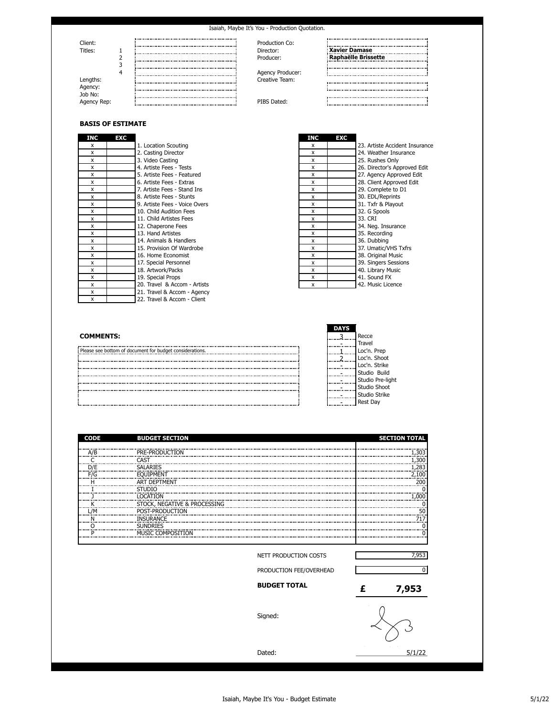

## **BASIS OF ESTIMATE**

| INC | EXC                           | <b>INC</b>   | <b>EXC</b> |                           |
|-----|-------------------------------|--------------|------------|---------------------------|
| x   | 1. Location Scouting          | x            |            | 23. Artiste Accident Insu |
| x   | 2. Casting Director           | x            |            | 24. Weather Insurance     |
| x   | 3. Video Casting              | x            |            | 25. Rushes Only           |
| x   | 4. Artiste Fees - Tests       | x            |            | 26. Director's Approved   |
| x   | 5. Artiste Fees - Featured    | x            |            | 27. Agency Approved Ed    |
| x   | 6. Artiste Fees - Extras      | $\mathsf{x}$ |            | 28. Client Approved Edit  |
| x   | 7. Artiste Fees - Stand Ins   | x            |            | 29. Complete to D1        |
| x   | 8. Artiste Fees - Stunts      | x            |            | 30. EDL/Reprints          |
| x   | 9. Artiste Fees - Voice Overs | x            |            | 31. Txfr & Playout        |
| x   | 10. Child Audition Fees       | x            |            | 32. G Spools              |
| x   | 11. Child Artistes Fees       | x            |            | 33. CRI                   |
| x   | 12. Chaperone Fees            | x            |            | 34. Neg. Insurance        |
| x   | 13. Hand Artistes             | X            |            | 35. Recording             |
| x   | 14. Animals & Handlers        | x            |            | 36. Dubbing               |
| x   | 15. Provision Of Wardrobe     | x            |            | 37. Umatic/VHS Txfrs      |
| x   | 16. Home Economist            | x            |            | 38. Original Music        |
| x   | 17. Special Personnel         | x            |            | 39. Singers Sessions      |
| x   | 18. Artwork/Packs             | x            |            | 40. Library Music         |
| x   | 19. Special Props             | x            |            | 41. Sound FX              |
| x   | 20. Travel & Accom - Artists  | x            |            | 42. Music Licence         |
| x   | 21. Travel & Accom - Agency   |              |            |                           |
| x   | 22. Travel & Accom - Client   |              |            |                           |

| NС                              | EXC |                               | INC          | EXC |                                |
|---------------------------------|-----|-------------------------------|--------------|-----|--------------------------------|
| X                               |     | 1. Location Scouting          | x            |     | 23. Artiste Accident Insurance |
| X <sub>.</sub>                  |     | 2. Casting Director           | $\mathsf{x}$ |     | 24. Weather Insurance          |
| X                               |     | 3. Video Casting              | x            |     | 25. Rushes Only                |
| $x_{\perp}$                     |     | 4. Artiste Fees - Tests       | $\mathsf{x}$ |     | 26. Director's Approved Edit   |
| $\times$                        |     | 5. Artiste Fees - Featured    | x            |     | 27. Agency Approved Edit       |
|                                 |     | 6. Artiste Fees - Extras      | x            |     | 28. Client Approved Edit       |
| $\frac{x}{x}$                   |     | 7. Artiste Fees - Stand Ins   | x            |     | 29. Complete to D1             |
| $\times$                        |     | 8. Artiste Fees - Stunts      | x            |     | 30. EDL/Reprints               |
| $\frac{\mathsf{x}}{\mathsf{y}}$ |     | 9. Artiste Fees - Voice Overs | x            |     | 31. Txfr & Playout             |
| $\times$                        |     | 10. Child Audition Fees       | x            |     | 32. G Spools                   |
| X                               |     | 11. Child Artistes Fees       | x            |     | 33. CRI                        |
| X.                              |     | 12. Chaperone Fees            | x            |     | 34. Neg. Insurance             |
| $\times$                        |     | 13. Hand Artistes             | x            |     | 35. Recording                  |
| X                               |     | 14. Animals & Handlers        | x            |     | 36. Dubbing                    |
| $\overline{X}$                  |     | 15. Provision Of Wardrobe     | x            |     | 37. Umatic/VHS Txfrs           |
| X <sub>_</sub>                  |     | 16. Home Economist            | x            |     | 38. Original Music             |
| X <sub>1</sub>                  |     | 17. Special Personnel         | x            |     | 39. Singers Sessions           |
| $\frac{\mathsf{x}}{\mathsf{y}}$ |     | 18. Artwork/Packs             | x            |     | 40. Library Music              |
| X.                              |     | 19. Special Props             | x            |     | 41. Sound FX                   |
| $x_{-}$                         |     | 20. Travel & Accom - Artists  | x            |     | 42. Music Licence              |
| $\ddot{\phantom{0}}$            |     | 24.7                          |              |     |                                |

|                                                            | DAYS            |                                      |
|------------------------------------------------------------|-----------------|--------------------------------------|
| <b>COMMENTS:</b>                                           |                 | Recce                                |
|                                                            |                 | <b>Travel</b>                        |
| : Please see bottom of document for budget considerations. |                 | Loc'n.<br>Loc'n. Prep<br>Loc'n. Shoo |
|                                                            | . <del>6.</del> |                                      |
|                                                            | .               | Loc'n. Strik                         |
|                                                            | .               | Bui                                  |
|                                                            | .               | Pre-                                 |
|                                                            | . <del>.</del>  | <b>Sho</b>                           |
|                                                            |                 | Strik                                |
|                                                            |                 |                                      |

| <b>DAYS</b> |                  |
|-------------|------------------|
| 2           | Recce            |
|             | <b>Travel</b>    |
|             | Loc'n. Prep      |
|             | Loc'n. Shoot     |
|             | Loc'n. Strike    |
|             | Studio Build     |
|             | Studio Pre-light |
|             | Studio Shoot     |
|             | Studio Strike    |
|             | Rest Day         |

| <b>CODE</b> | <b>BUDGET SECTION</b>                |                         |   | <b>SECTION TOTAL</b> |
|-------------|--------------------------------------|-------------------------|---|----------------------|
| A/B         | PRE-PRODUCTION                       |                         |   | 1,303                |
|             | CAST                                 |                         |   | <br>.300             |
| D/E         | <b>SALARIES</b><br>                  |                         |   | 1,283                |
| F/G         | <b>EOUIPMENT</b>                     |                         |   | 2,100<br>            |
|             | <b>ART DEPTMENT</b>                  |                         |   | 200                  |
|             | <b>STUDIO</b>                        |                         |   |                      |
|             | <b>LOCATION</b>                      |                         |   | 1.000                |
|             | STOCK, NEGATIVE & PROCESSING         |                         |   |                      |
| _/M         | POST-PRODUCTION                      |                         |   | 50                   |
|             | <b>INSURANCE</b>                     |                         |   |                      |
| D           | <b>SUNDRIES</b><br>MUSIC COMPOSITION |                         |   |                      |
|             |                                      |                         |   |                      |
|             |                                      |                         |   |                      |
|             |                                      | NETT PRODUCTION COSTS   |   | 7,953                |
|             |                                      | PRODUCTION FEE/OVERHEAD |   | <sup>0</sup>         |
|             |                                      | <b>BUDGET TOTAL</b>     | £ | 7,953                |
|             |                                      | Signed:                 |   |                      |
|             |                                      | Dated:                  |   | 5/1/22               |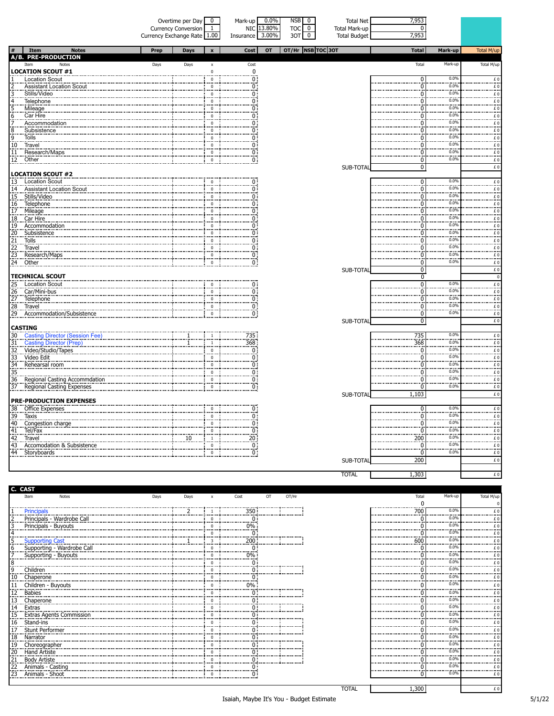|                                                            |                                                                                                          | Currency Exchange Rate 1.00 | Overtime per Day<br><b>Currency Conversion</b> | $\bf{0}$<br>$\mathbf{1}$   | Mark-up<br>NIC 13.80%<br>Insurance | $0.0\%$<br>3.00% | <b>NSB</b><br>0<br><b>TOC</b><br>$\bf{0}$<br>3OT<br>$\overline{0}$ | <b>Total Net</b><br><b>Total Mark-up</b><br><b>Total Budget</b> | 7,953<br>n<br>7,953  |                 |                                                                                           |
|------------------------------------------------------------|----------------------------------------------------------------------------------------------------------|-----------------------------|------------------------------------------------|----------------------------|------------------------------------|------------------|--------------------------------------------------------------------|-----------------------------------------------------------------|----------------------|-----------------|-------------------------------------------------------------------------------------------|
|                                                            | Item<br><b>Notes</b>                                                                                     | Prep                        | <b>Days</b>                                    | $\mathbf{x}$               | <b>Cost</b>                        | OT               | OT/Hr  NSB TOC 30T                                                 |                                                                 | <b>Total</b>         | Mark-up         | Total M/up                                                                                |
|                                                            | A/B. PRE-PRODUCTION<br>Notes<br>Item                                                                     | Days                        | Days                                           | $\pmb{\mathsf{x}}$         | Cost                               |                  |                                                                    |                                                                 | Total                | Mark-up         | Total M/up                                                                                |
|                                                            | <b>LOCATION SCOUT #1</b><br>Location Scout                                                               |                             |                                                | $\mathbf 0$<br>$\mathbf 0$ | $\mathbf 0$<br>$\overline{0}$ :    |                  |                                                                    |                                                                 | $\Omega$             | 0.0%            |                                                                                           |
|                                                            | <b>Assistant Location Scout</b>                                                                          |                             |                                                | $\Omega$                   | 0 :                                |                  |                                                                    |                                                                 |                      | 0.0%            | $\frac{f}{f}$ .<br>                                                                       |
|                                                            | Stills/Video                                                                                             |                             |                                                | $\mathbf 0$                | Ö.                                 |                  |                                                                    |                                                                 | 0                    | 0.0%            | £0<br>                                                                                    |
|                                                            | Telephone                                                                                                |                             |                                                | $\pmb{0}$                  | 0 :                                |                  |                                                                    |                                                                 | n                    | 0.0%<br>0.0%    |                                                                                           |
| 6                                                          | Mileage<br>Car Hire                                                                                      |                             |                                                | $^{\circ}$<br>$\mathbf 0$  | Ö<br>0 :                           |                  |                                                                    |                                                                 |                      | 0.0%            | $E_{\rm 0}$                                                                               |
|                                                            | Accommodation                                                                                            |                             |                                                | $\mathbf 0$                | 0:                                 |                  |                                                                    |                                                                 | n                    | <br>0.0%        | $f_{\cdot}$<br>$\overline{f}$ 0                                                           |
|                                                            | Subsistence                                                                                              |                             |                                                | $\mathbf 0$                | 0 i                                |                  |                                                                    |                                                                 |                      | 0.0%            | £0<br>                                                                                    |
| $\frac{8}{9}$                                              | Tolls                                                                                                    |                             |                                                | $\mathbf 0$                | 0 :                                |                  |                                                                    |                                                                 |                      | 0.0%<br>0.0%    |                                                                                           |
| 10                                                         | Travel                                                                                                   |                             |                                                | $\Omega$<br>$\pmb{0}$      | 0 :<br>Ö.                          |                  |                                                                    |                                                                 | n                    | 0.0%            | $f_{\text{0}}$                                                                            |
| $\frac{11}{2}$<br>$\frac{12}{2}$                           | Research/Maps<br>Other                                                                                   |                             |                                                | $\pmb{0}$                  | 0 :                                |                  |                                                                    |                                                                 | 0                    | 0.0%            | $\epsilon$ 0<br>£0                                                                        |
|                                                            |                                                                                                          |                             |                                                |                            |                                    |                  |                                                                    | SUB-TOTAL                                                       | 0                    |                 | £O                                                                                        |
|                                                            | <b>LOCATION SCOUT #2</b>                                                                                 |                             |                                                |                            |                                    |                  |                                                                    |                                                                 |                      |                 |                                                                                           |
|                                                            | 13 Location Scout<br>14 Assistant Location Scout                                                         |                             |                                                | $\Omega$                   | 0:<br>0 :                          |                  |                                                                    |                                                                 | $\Omega$             | 0.0%<br>0.0%    | £O                                                                                        |
|                                                            | 14 Assistan<br>15 Stills/Vid<br>16 Telephor<br>17 Mileage<br>18 Car Hire<br>19 Accomm<br>Stills/Video    |                             |                                                | $\mathbf 0$<br>$\mathbf 0$ | 0 :                                |                  |                                                                    |                                                                 |                      | 0.0%            | £0<br><br>$\overline{f}$ 0                                                                |
|                                                            | Telephone                                                                                                |                             |                                                | $\mathbf 0$                | 0 :                                |                  |                                                                    |                                                                 |                      | 0.0%            | $\frac{f}{f}$                                                                             |
|                                                            |                                                                                                          |                             |                                                | $\mathbf 0$                | 0 :                                |                  |                                                                    |                                                                 |                      | 0.0%            |                                                                                           |
|                                                            | Car Hire                                                                                                 |                             |                                                | $\Omega$                   | 0 :                                |                  |                                                                    |                                                                 |                      | 0.0%<br>0.0%    | $\pounds$ 0<br>                                                                           |
|                                                            | 19 Accommodation                                                                                         |                             |                                                | $\mathbf 0$<br>$\Omega$    | 0 :                                |                  |                                                                    |                                                                 |                      | 0.09            | $\overline{f}$ 0                                                                          |
|                                                            | Subsistence<br>Tolls                                                                                     |                             |                                                | $\bf{0}$                   | 0:                                 |                  |                                                                    |                                                                 |                      | 0.0%            | £0<br>£0                                                                                  |
| $\begin{bmatrix} 20 \\ 21 \\ 22 \\ 23 \\ 34 \end{bmatrix}$ | Travel                                                                                                   |                             |                                                | $\pmb{0}$                  |                                    |                  |                                                                    |                                                                 |                      | 0.0%            | <br>$\epsilon$ 0.                                                                         |
|                                                            | Research/Maps                                                                                            |                             |                                                | $\mathbf 0$                | $\frac{0}{0}$                      |                  |                                                                    |                                                                 |                      | 0.0%            | $f_{\cdot}$                                                                               |
| 24 Other                                                   |                                                                                                          |                             |                                                | $\mathbf 0$                | 0 :                                |                  |                                                                    |                                                                 | 0                    | 0.0%            | £0                                                                                        |
|                                                            | <b>TECHNICAL SCOUT</b>                                                                                   |                             |                                                |                            |                                    |                  |                                                                    | SUB-TOTAL                                                       | 0<br>$\mathbf 0$     |                 | £O<br>$\pmb{0}$                                                                           |
|                                                            | <b>Location Scout</b>                                                                                    |                             |                                                | $\mathbf 0$                | 0 :                                |                  |                                                                    |                                                                 | $\Omega$             | 0.0%            | $\overline{f}$                                                                            |
|                                                            | 125 Location Scotland<br>126 Car/Mini-bus<br>127 Telephone                                               |                             |                                                | $\Omega$                   | 0 :                                |                  |                                                                    |                                                                 |                      | 0.0%            | $f_{\cdot}$                                                                               |
|                                                            |                                                                                                          |                             |                                                | $\mathbf 0$                | 0 :                                |                  |                                                                    |                                                                 |                      | 0.0%<br>0.0%    | $\frac{f}{f}$                                                                             |
| $\begin{array}{c} 28 \\ 29 \end{array}$                    | Travel<br>Accommodation/Subsistence                                                                      |                             |                                                | $\Omega$<br>$\mathbf 0$    | 0:<br>$\overline{0}$ :             |                  |                                                                    |                                                                 | $\Omega$<br>0        | 0.0%            | <br>£0                                                                                    |
|                                                            |                                                                                                          |                             |                                                |                            |                                    |                  |                                                                    | SUB-TOTAL                                                       | 0                    |                 | £O                                                                                        |
| <b>CASTING</b>                                             |                                                                                                          |                             |                                                |                            |                                    |                  |                                                                    |                                                                 |                      |                 |                                                                                           |
| 30                                                         | Casting Director (Session Fee)<br>Casting Director (Prep)<br>Video/Studio/Tapes                          |                             |                                                | 1                          | 735                                |                  |                                                                    |                                                                 | 735                  | 0.0%<br>0.0%    | £0                                                                                        |
| 31                                                         |                                                                                                          |                             |                                                | <sup>1</sup>               | 368:<br>$\overline{0}$             |                  |                                                                    |                                                                 | 368<br>Ö             | 0.0%            | $\stackrel{f}{\ldots}$                                                                    |
|                                                            |                                                                                                          |                             |                                                | $\mathbf 0$<br>$\mathbf 0$ | 0:                                 |                  |                                                                    |                                                                 | n                    | 0.0%            | £O<br><br>$\ldots$ $\stackrel{f}{\ldots}$                                                 |
|                                                            | 31. Casung Di<br>32. Video/Stud<br>33. Video Edit<br>34. Rehearsal<br>35. Casicoral Co<br>Rehearsal room |                             |                                                | $\Omega$                   | Ö.                                 |                  |                                                                    |                                                                 | <br>n                | 0.0%            | £O<br>                                                                                    |
|                                                            |                                                                                                          |                             |                                                | $\mathbf 0$                | 0:                                 |                  |                                                                    |                                                                 | $\Omega$             | 0.0%            | $\epsilon$ 0                                                                              |
| 36<br>$\frac{30}{37}$                                      | Regional Casting Accommdation                                                                            |                             |                                                | $\mathbf 0$                | $\frac{0}{0}$                      |                  |                                                                    |                                                                 | $\Omega$             | 0.09<br>0.0%    |                                                                                           |
|                                                            | Regional Casting Expenses                                                                                |                             |                                                | $\mathbf 0$                |                                    |                  |                                                                    | SUB-TOTAL                                                       | 0<br>1,103           |                 | £O<br>£O                                                                                  |
|                                                            | <b>PRE-PRODUCTION EXPENSES</b>                                                                           |                             |                                                |                            |                                    |                  |                                                                    |                                                                 |                      |                 |                                                                                           |
|                                                            | 38 Office Expenses                                                                                       |                             |                                                | $\mathbf 0$                | 0 :                                |                  |                                                                    |                                                                 | 0                    | 0.0%            | £O                                                                                        |
|                                                            |                                                                                                          |                             |                                                | $\mathbf 0$                | 0 i                                |                  |                                                                    |                                                                 | $\Omega$             | 0.0%            | $\overline{f}$ 0                                                                          |
|                                                            |                                                                                                          |                             |                                                | $\Omega$                   | 0 :<br>$\overline{0}$              |                  |                                                                    |                                                                 | n                    | $0.0\%$<br>0.0% |                                                                                           |
|                                                            |                                                                                                          |                             | 10                                             | $\overline{1}$             | 20 i                               |                  |                                                                    |                                                                 | 200                  | 0.0%            | $\begin{array}{c} \hbox{\large\it \pounds}\ 0 \\ \hbox{\large\it \pounds}\ 0 \end{array}$ |
|                                                            |                                                                                                          |                             |                                                | $\mathbf 0$                | $\frac{1}{2}$                      |                  |                                                                    |                                                                 | $\mathbf 0$          | 0.0%            | $\frac{f}{f}$ .                                                                           |
|                                                            |                                                                                                          |                             |                                                | $\mathbf 0$                | $\overline{0}$ :                   |                  |                                                                    |                                                                 | 0                    | 0.0%            | £0                                                                                        |
|                                                            |                                                                                                          |                             |                                                |                            |                                    |                  |                                                                    | SUB-TOTAL                                                       | 200                  |                 | £O                                                                                        |
|                                                            |                                                                                                          |                             |                                                |                            |                                    |                  |                                                                    | <b>TOTAL</b>                                                    | 1,303                |                 | £O                                                                                        |
|                                                            |                                                                                                          |                             |                                                |                            |                                    |                  |                                                                    |                                                                 |                      |                 |                                                                                           |
| C. CAST                                                    |                                                                                                          |                             |                                                |                            |                                    |                  |                                                                    |                                                                 |                      |                 |                                                                                           |
|                                                            | Item<br>Notes                                                                                            | Days                        | Days                                           | x                          | Cost                               | OT               | OT/Hr                                                              |                                                                 | Total<br>$\mathbf 0$ | Mark-up         | Total M/up<br>0                                                                           |
|                                                            |                                                                                                          |                             |                                                |                            |                                    |                  |                                                                    |                                                                 |                      |                 |                                                                                           |

|                 | Item                                | Notes                    | Days | Days        | Cost  | OT. | OT/Hr |     | Mark-up  | Total M/up |
|-----------------|-------------------------------------|--------------------------|------|-------------|-------|-----|-------|-----|----------|------------|
|                 |                                     |                          |      |             |       |     |       |     |          |            |
|                 | Principals                          |                          |      | <del></del> | 350:  |     |       | 700 | 0.0%     | £Ω         |
|                 |                                     |                          |      |             |       |     |       |     | 0.0%     |            |
|                 | Principals - Buyouts                |                          |      |             | 0%    |     |       |     | 0.0%     |            |
|                 |                                     |                          |      |             |       |     |       |     | 0.0%     |            |
|                 | <b>Supporting Cast</b>              |                          |      |             | 200:  |     |       | 600 | 0.0%     |            |
| 6.              |                                     |                          |      |             |       |     |       |     | 0.0%     |            |
|                 | Supporting - Buyouts                |                          |      |             | $0\%$ |     |       |     | 0.0%     |            |
|                 |                                     |                          |      |             |       |     |       |     | 0.0%     |            |
|                 | Children                            |                          |      |             |       |     |       |     | 0.0%     |            |
| .10             |                                     |                          |      |             |       |     |       |     | 0.0%<br> |            |
| $\mathbf{11}$   | Children - Buyouts                  |                          |      |             | 0%    |     |       |     | 0.0%     |            |
| <u>.12</u>      | Babies                              |                          |      |             |       |     |       |     | 0.0%     |            |
| .13             | Chaperone                           |                          |      |             |       |     |       |     | 0.0%     |            |
|                 | 14 Extras<br>15 Extras              |                          |      |             |       |     |       |     | 0.09     |            |
|                 |                                     | Extras Agents Commission |      |             |       |     |       |     | 0.0%     |            |
| 16              | Stand-ins                           |                          |      |             |       |     |       |     | 0.0%     |            |
| 17              | Stunt Performer                     |                          |      |             |       |     |       |     | 0.0%<br> |            |
| $\frac{18}{19}$ | Narrator                            |                          |      |             |       |     |       |     | 0.09     |            |
|                 | Choreographer                       |                          |      |             |       |     |       |     | 0.0%     |            |
|                 | 20 Hand Artiste                     |                          |      |             |       |     |       |     | 0.0%     |            |
|                 | 21 Body Artiste<br>22 Animals - Cas |                          |      |             |       |     |       |     | 0.0%     |            |
|                 | Animals - Casting                   |                          |      |             |       |     |       |     | 0.0%     |            |
|                 |                                     | 23 Animals - Shoot       |      |             |       |     |       |     | 0.0%     | £Ο         |
|                 |                                     |                          |      |             |       |     |       |     |          |            |

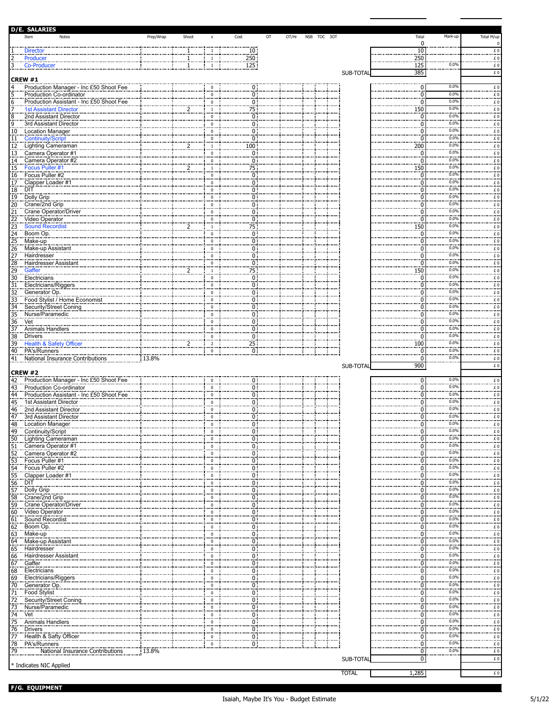|                                    | <b>D/E. SALARIES</b>                                                    |           |       |                                  |                                                          |                  |       |             |  |              |                        |                           |                                                                                                                                                                                                                                                                                                                                                                                                                                                                                                                    |
|------------------------------------|-------------------------------------------------------------------------|-----------|-------|----------------------------------|----------------------------------------------------------|------------------|-------|-------------|--|--------------|------------------------|---------------------------|--------------------------------------------------------------------------------------------------------------------------------------------------------------------------------------------------------------------------------------------------------------------------------------------------------------------------------------------------------------------------------------------------------------------------------------------------------------------------------------------------------------------|
|                                    | Item<br>Notes                                                           | Prep/Wrap | Shoot | $\pmb{\chi}$                     | Cost                                                     | OT               | OT/Hr | NSB TOC 30T |  |              | Total                  | Mark-up                   | Total M/up                                                                                                                                                                                                                                                                                                                                                                                                                                                                                                         |
|                                    |                                                                         |           |       |                                  |                                                          |                  |       |             |  |              | 0                      |                           | $\mathbf 0$                                                                                                                                                                                                                                                                                                                                                                                                                                                                                                        |
|                                    | Director                                                                |           |       | -1                               | 10:                                                      |                  |       |             |  |              | $\frac{10}{250}$       |                           | $\underline{\mathbf{f}}$ 0                                                                                                                                                                                                                                                                                                                                                                                                                                                                                         |
| ë,                                 | Producer                                                                |           |       | -1                               | $250\,$                                                  |                  |       |             |  |              | $\frac{1}{125}$        | 0.0%                      | £0                                                                                                                                                                                                                                                                                                                                                                                                                                                                                                                 |
|                                    | Co-Producer                                                             |           |       | $\overline{1}$                   | 125:                                                     |                  |       |             |  |              |                        |                           | £0                                                                                                                                                                                                                                                                                                                                                                                                                                                                                                                 |
|                                    | <b>CREW #1</b>                                                          |           |       |                                  |                                                          |                  |       |             |  | SUB-TOTAL    | 385                    |                           | $\pounds$ 0                                                                                                                                                                                                                                                                                                                                                                                                                                                                                                        |
| 4                                  | Production Manager - Inc £50 Shoot Fee                                  |           |       | $\Omega$                         | 0:                                                       |                  |       |             |  |              | $\Omega$               | 0.0%                      | $\frac{f}{f}$                                                                                                                                                                                                                                                                                                                                                                                                                                                                                                      |
|                                    | Production Co-ordinator                                                 |           |       | $\Omega$                         | $\overline{\overline{0}}$ :                              |                  |       |             |  |              | 0                      | 0.0%                      |                                                                                                                                                                                                                                                                                                                                                                                                                                                                                                                    |
|                                    | Production Assistant - Inc £50 Shoot Fee                                |           |       | $\mathbf 0$                      | öĪ                                                       |                  |       |             |  |              | 0                      | 0.0%                      | $\stackrel{f}{\ldots}$<br>$E_{\perp}$                                                                                                                                                                                                                                                                                                                                                                                                                                                                              |
|                                    | 1st Assistant Director                                                  |           |       | $\overline{1}$                   | $\frac{1}{75}$                                           |                  |       |             |  |              | 150                    | 0.0%                      | $\underline{\epsilon}$ 0                                                                                                                                                                                                                                                                                                                                                                                                                                                                                           |
|                                    | 2nd Assistant Director                                                  |           |       | $\mathbf 0$                      | 0                                                        |                  |       |             |  |              | 0                      | 0.0%                      | £Ο                                                                                                                                                                                                                                                                                                                                                                                                                                                                                                                 |
|                                    | 3rd Assistant Director                                                  |           |       | $\mathbf 0$                      |                                                          |                  |       |             |  |              | $\Omega$               | 0.0%                      |                                                                                                                                                                                                                                                                                                                                                                                                                                                                                                                    |
| 10                                 | Location Manager                                                        |           |       | $\Omega$                         | $\begin{matrix} 0 \\ 0 \end{matrix}$                     |                  |       |             |  |              | ſ                      | 0.0%                      | $\begin{array}{c} \text{E 0}\\ \text{E 0} \end{array}$                                                                                                                                                                                                                                                                                                                                                                                                                                                             |
| 11                                 | Continuity/Script                                                       |           |       | 0                                | $\overline{0}$ :                                         |                  |       |             |  |              | 0                      | 0.0%                      | <br>$\underline{\epsilon}$ 0                                                                                                                                                                                                                                                                                                                                                                                                                                                                                       |
| 12                                 | <b>Lighting Cameraman</b>                                               |           | 2     | $\frac{1}{2}$                    | 100:                                                     |                  |       |             |  |              | 200                    | 0.0%                      | £0                                                                                                                                                                                                                                                                                                                                                                                                                                                                                                                 |
| $\overline{13}$                    | Camera Operator #1                                                      |           |       | $\mathbf 0$                      | 0 :                                                      |                  |       |             |  |              | $\Omega$               | 0.0%                      | £Ο<br>                                                                                                                                                                                                                                                                                                                                                                                                                                                                                                             |
| 14                                 | Camera Operator #2                                                      |           |       | $\mathbf{0}$                     | $\frac{0}{75}$                                           |                  |       |             |  |              | $\Omega$               | 0.0%                      | $\underline{\mathbf{f}}$ 0                                                                                                                                                                                                                                                                                                                                                                                                                                                                                         |
| 15                                 | Focus Puller #1                                                         |           | 7     | - 1                              |                                                          |                  |       |             |  |              | 150                    | 0.0%<br>                  | £0<br>                                                                                                                                                                                                                                                                                                                                                                                                                                                                                                             |
| $\frac{1}{16}$                     | Focus Puller #2                                                         |           |       | $\mathbf 0$                      | $\begin{matrix} 0 \\ 0 \\ 0 \end{matrix}$                |                  |       |             |  |              | $\Omega$               | 0.0%                      | $\epsilon$ 0                                                                                                                                                                                                                                                                                                                                                                                                                                                                                                       |
| 17                                 | Clapper Loader #1                                                       |           |       | $\Omega$                         |                                                          |                  |       |             |  |              | O                      | 0.0%<br>0.0%              | f.0                                                                                                                                                                                                                                                                                                                                                                                                                                                                                                                |
| 18<br>19                           | DIT                                                                     |           |       | $\mathbf 0$                      | $\overline{0}$                                           |                  |       |             |  |              | 0                      |                           | £Ο                                                                                                                                                                                                                                                                                                                                                                                                                                                                                                                 |
|                                    | Dolly Grip                                                              |           |       | $\mathbf 0$                      | $\frac{0}{0}$                                            |                  |       |             |  |              | $\Omega$               | 0.0%<br>0.0%              | $\begin{array}{c} \text{E 0}\\ \text{E 0} \end{array}$                                                                                                                                                                                                                                                                                                                                                                                                                                                             |
| $\overline{20}$                    | Crane/2nd Grip                                                          |           |       | $\Omega$                         | öŤ                                                       |                  |       |             |  |              | 0                      | 0.0%                      |                                                                                                                                                                                                                                                                                                                                                                                                                                                                                                                    |
| 21                                 | Crane Operator/Driver                                                   |           |       | $\mathbf 0$                      |                                                          |                  |       |             |  |              | 0                      | 0.0%                      | $\epsilon$ 0                                                                                                                                                                                                                                                                                                                                                                                                                                                                                                       |
| $\overline{22}$                    | Video Operator                                                          |           |       | $\mathbf 0$                      |                                                          |                  |       |             |  |              | $\Omega$               | 0.0%                      | $\underbrace{\textbf{f}}\ \underline{\textbf{0}}$                                                                                                                                                                                                                                                                                                                                                                                                                                                                  |
|                                    | Sound Recordist<br>23 Sound Ree<br>24 Boom Op.                          |           |       | $\overline{1}$                   | $\frac{0}{75}$<br>$\frac{75}{0}$<br>$\frac{0}{0}$        |                  |       |             |  |              | <b>150</b><br>$\Omega$ | 0.0%                      | $\epsilon$ 0                                                                                                                                                                                                                                                                                                                                                                                                                                                                                                       |
|                                    | 25 Make-up                                                              |           |       | $\mathbf 0$<br>$\Omega$          |                                                          |                  |       |             |  |              | O                      | 0.0%                      | $\underline{\epsilon}$ 0<br>$\pounds$ 0                                                                                                                                                                                                                                                                                                                                                                                                                                                                            |
|                                    |                                                                         |           |       | $\mathbf 0$                      | öŢ                                                       |                  |       |             |  |              | O                      | <br>0.0%                  |                                                                                                                                                                                                                                                                                                                                                                                                                                                                                                                    |
|                                    | Make-up Assistant<br>Hairdresser                                        |           |       | $\mathbf 0$                      | $\frac{5}{0}$                                            |                  |       |             |  |              | O                      | 0.0%                      | £0                                                                                                                                                                                                                                                                                                                                                                                                                                                                                                                 |
| $\frac{25}{26}$<br>$\frac{27}{28}$ | <b>Hairdresser Assistant</b>                                            |           |       | $\mathbf 0$                      | ÖΪ                                                       |                  |       |             |  |              | $\Omega$               | $0.0\%$                   | $\stackrel{\scriptscriptstyle 6}{\ldots} \stackrel{\scriptscriptstyle 0}{\ldots}$<br>£0                                                                                                                                                                                                                                                                                                                                                                                                                            |
|                                    | Gaffer                                                                  |           | 2     | $\begin{array}{c} 1 \end{array}$ | $\frac{75}{2}$                                           |                  |       |             |  |              | 150                    | 0.0%                      | <br>$\underline{\mathbf{f}}$ 0                                                                                                                                                                                                                                                                                                                                                                                                                                                                                     |
|                                    | Electricians                                                            |           |       | $\mathbf 0$                      | 0 :                                                      |                  |       |             |  |              | $\Omega$               | 0.0%                      | £0                                                                                                                                                                                                                                                                                                                                                                                                                                                                                                                 |
| 31                                 | Electricians/Riggers                                                    |           |       | $\mathbf 0$                      | 0 :                                                      | - 6              |       |             |  |              | 0                      | 0.0%                      | $\underline{\epsilon}$ 0                                                                                                                                                                                                                                                                                                                                                                                                                                                                                           |
|                                    | Generator Op.                                                           |           |       | $\frac{0}{\cdots}$               | $\overline{0}$ :                                         |                  |       |             |  |              | $\Omega$               | 0.0%                      | $\stackrel{\scriptscriptstyle 6}{\ldots} \stackrel{\scriptscriptstyle 0}{\ldots}$                                                                                                                                                                                                                                                                                                                                                                                                                                  |
| $\frac{32}{33}$                    | Food Stylist / Home Economist                                           |           |       | $\mathbf 0$                      | 0 :                                                      |                  |       |             |  |              | 0                      | 0.0%                      | £0                                                                                                                                                                                                                                                                                                                                                                                                                                                                                                                 |
|                                    | 34 Security/Street Coning                                               |           |       | $\mathbf{0}$                     | $\overline{0}$ :                                         |                  |       |             |  |              | $\Omega$               | 0.0%                      |                                                                                                                                                                                                                                                                                                                                                                                                                                                                                                                    |
|                                    |                                                                         |           |       | $^{\circ}$                       | $\frac{5}{0}$                                            |                  |       |             |  |              | O                      | 0.0%                      | $\begin{array}{c}\n\cdots \\ \hline\n\vdots \\ \hline\n\vdots \\ \hline\n\vdots \\ \hline\n\vdots \\ \hline\n\vdots \\ \hline\n\vdots \\ \hline\n\vdots \\ \hline\n\vdots \\ \hline\n\vdots \\ \hline\n\vdots \\ \hline\n\vdots \\ \hline\n\vdots \\ \hline\n\vdots \\ \hline\n\vdots \\ \hline\n\vdots \\ \hline\n\vdots \\ \hline\n\vdots \\ \hline\n\vdots \\ \hline\n\vdots \\ \hline\n\vdots \\ \hline\n\vdots \\ \hline\n\vdots \\ \hline\n\vdots \\ \hline\n\vdots \\ \hline\n\vdots \\ \hline\n\vdots \\ $ |
|                                    | <u>35 Nurse/Paramedic</u><br>36 Vet<br>36 Vet<br>37 Animals Handlers    |           |       | <br>$\mathbf 0$                  | $\frac{0}{0}$<br>$\frac{0}{0}$                           |                  |       |             |  |              | O                      | 0.0%                      | $\pm 0$                                                                                                                                                                                                                                                                                                                                                                                                                                                                                                            |
|                                    |                                                                         |           |       | $\mathbf 0$                      |                                                          |                  |       |             |  |              | n                      | 0.0%                      | f.0                                                                                                                                                                                                                                                                                                                                                                                                                                                                                                                |
| 38                                 | Drivers                                                                 |           |       | $\mathbf 0$<br>.                 |                                                          |                  |       |             |  |              | $\Omega$               | 0.0%                      | £0<br>                                                                                                                                                                                                                                                                                                                                                                                                                                                                                                             |
| 39                                 | Health & Safety Officer                                                 |           |       | $\frac{2}{2}$                    | $\frac{25}{25}$                                          |                  |       |             |  |              | <b>100</b>             | 0.0%                      | $\underline{\mathbf{f}}$ 0                                                                                                                                                                                                                                                                                                                                                                                                                                                                                         |
| 40                                 | PA's/Runners                                                            |           |       | $\overline{0}$                   | 0 :                                                      |                  |       |             |  |              | $\mathbf 0$            | 0.0%                      | $\pounds$ 0                                                                                                                                                                                                                                                                                                                                                                                                                                                                                                        |
|                                    | 41 National Insurance Contributions                                     | : 13.8%   |       |                                  |                                                          |                  |       |             |  |              | 0                      | 0.0%<br>                  | £0                                                                                                                                                                                                                                                                                                                                                                                                                                                                                                                 |
|                                    |                                                                         |           |       |                                  |                                                          |                  |       |             |  | SUB-TOTAL    | 900                    |                           | £O                                                                                                                                                                                                                                                                                                                                                                                                                                                                                                                 |
|                                    | CREW #2                                                                 |           |       |                                  |                                                          |                  |       |             |  |              |                        | 0.0%                      |                                                                                                                                                                                                                                                                                                                                                                                                                                                                                                                    |
|                                    | 42 Production Manager - Inc £50 Shoot Fee<br>43 Production Co-ordinator |           |       | $\overline{0}$                   | $\frac{0}{0}$                                            |                  |       |             |  |              | $\Omega$               | 0.0%                      | $\frac{f}{f}$                                                                                                                                                                                                                                                                                                                                                                                                                                                                                                      |
|                                    | Production Assistant - Inc £50 Shoot Fee                                |           |       | $\mathbf 0$<br>$\mathbf 0$       | öĪ                                                       |                  |       |             |  |              | n<br>O                 | <br>0.0%                  | £0<br>                                                                                                                                                                                                                                                                                                                                                                                                                                                                                                             |
| 44<br>45                           | 1st Assistant Director                                                  |           |       | $\mathbf{0}$                     | $\frac{6}{0}$                                            |                  |       |             |  |              | ſ                      | 0.0%                      | £0                                                                                                                                                                                                                                                                                                                                                                                                                                                                                                                 |
| 46                                 | 2nd Assistant Director                                                  |           |       | $\bf{0}$                         | $\overline{0}$ :                                         |                  |       |             |  |              | n                      | 0.0%                      | <br>£0                                                                                                                                                                                                                                                                                                                                                                                                                                                                                                             |
| 47                                 | 3rd Assistant Director                                                  |           |       | $\mathbf 0$                      |                                                          |                  |       |             |  |              |                        | 0.0%                      |                                                                                                                                                                                                                                                                                                                                                                                                                                                                                                                    |
|                                    | 48 Location Manager                                                     |           |       | $^{\circ}$                       | $\begin{matrix} 0 \\ 0 \\ \vdots \\ \vdots \end{matrix}$ |                  |       |             |  |              |                        | 0.0%                      | $\frac{\pounds}{\pounds} 0$                                                                                                                                                                                                                                                                                                                                                                                                                                                                                        |
|                                    | 49 Continuity/Script                                                    |           |       | $\mathbf 0$                      | 0 :                                                      |                  |       |             |  |              | 0                      | <br>0.0%                  | $f_{\rm 0}$                                                                                                                                                                                                                                                                                                                                                                                                                                                                                                        |
| $\frac{50}{2}$                     | Lighting Cameraman                                                      |           |       | $\ddot{0}$                       | $\overline{0}$ :                                         |                  |       |             |  |              |                        | 0.0%                      | $\overline{f}$ 0                                                                                                                                                                                                                                                                                                                                                                                                                                                                                                   |
| $\frac{51}{2}$                     | Camera Operator #1                                                      |           |       | 0                                | 0:                                                       |                  |       |             |  |              | 0                      | 0.0%                      | £Ο                                                                                                                                                                                                                                                                                                                                                                                                                                                                                                                 |
| 52.                                | Camera Operator #2                                                      |           |       | $\mathbf 0$                      | 0:                                                       |                  |       |             |  |              | $\Omega$               | 0.0%                      | <br>$\underline{\epsilon}$ 0                                                                                                                                                                                                                                                                                                                                                                                                                                                                                       |
|                                    |                                                                         |           |       | $\Omega$<br>                     | $\frac{5}{0}$                                            |                  |       |             |  |              | $\Omega$               | 0.0%                      | $\pounds$ 0<br>                                                                                                                                                                                                                                                                                                                                                                                                                                                                                                    |
|                                    |                                                                         |           |       | $\mathbf 0$                      | öT                                                       |                  |       |             |  |              | 0                      | 0.0%                      | $\stackrel{\scriptstyle \varepsilon}{\ldots}$ 0                                                                                                                                                                                                                                                                                                                                                                                                                                                                    |
|                                    | Clapper Loader #1                                                       |           |       | $\Omega$                         |                                                          | $\frac{5}{0}$    |       |             |  |              | ŋ                      | 0.0%<br>$\frac{1}{0.0\%}$ | $\overline{f}$ .                                                                                                                                                                                                                                                                                                                                                                                                                                                                                                   |
| 56<br>57                           | DIT                                                                     |           |       | $\bf{0}$                         | ÖΪ                                                       |                  |       |             |  |              | 0                      | 0.0%                      | £Ο                                                                                                                                                                                                                                                                                                                                                                                                                                                                                                                 |
|                                    | Dolly Grip                                                              |           |       | $\mathbf 0$                      | $\frac{0}{0}$                                            |                  |       |             |  |              | $\Omega$               | 0.0%                      | $\begin{array}{c} E\ 0 \\ E\ 0 \end{array}$                                                                                                                                                                                                                                                                                                                                                                                                                                                                        |
| 58                                 | Crane/2nd Grip                                                          |           |       | $\Omega$                         | $\overline{0}$ :                                         |                  |       |             |  |              | ŋ                      | 0.0%                      |                                                                                                                                                                                                                                                                                                                                                                                                                                                                                                                    |
| 59                                 | Crane Operator/Driver                                                   |           |       | $\mathbf 0$<br>$\mathbf 0$       | $\overline{0}$ :                                         |                  |       |             |  |              | ŋ<br>ŋ                 | 0.0%                      | $\underline{\epsilon}$ 0                                                                                                                                                                                                                                                                                                                                                                                                                                                                                           |
| 60                                 | Video Operator<br>Sound Recordist                                       |           |       | $\bf{0}$                         | 0 :                                                      |                  |       |             |  |              | 0                      | 0.0%                      | $\overline{f}$ 0<br>£Ο                                                                                                                                                                                                                                                                                                                                                                                                                                                                                             |
| 61<br>62                           | Boom Op.                                                                |           |       | $\overline{0}$                   |                                                          |                  |       |             |  |              | $\Omega$               | 0.0%                      |                                                                                                                                                                                                                                                                                                                                                                                                                                                                                                                    |
| 63                                 | Make-up                                                                 |           |       | $\Omega$                         | $\begin{matrix} 0 \\ 0 \\ 0 \end{matrix}$                |                  |       |             |  |              | ŋ                      | 0.0%                      | $\begin{array}{c} E\ 0 \\ E\ 0 \end{array}$                                                                                                                                                                                                                                                                                                                                                                                                                                                                        |
| 64                                 | Make-up Assistant                                                       |           |       | $\mathbf 0$                      | öŦ                                                       |                  |       |             |  |              | ŋ                      | 0.0%                      |                                                                                                                                                                                                                                                                                                                                                                                                                                                                                                                    |
| 65                                 | Hairdresser                                                             |           |       | $\overline{\mathbf{0}}$          | $\frac{6}{0}$                                            |                  |       |             |  |              | ŋ                      | 0.0%                      | $\frac{f}{f}$ 0<br>$\overline{f}$ .                                                                                                                                                                                                                                                                                                                                                                                                                                                                                |
| 66                                 | Hairdresser Assistant                                                   |           |       | $\mathbf 0$                      | öŦ                                                       |                  |       |             |  |              | 0                      | 0.0%                      | £0                                                                                                                                                                                                                                                                                                                                                                                                                                                                                                                 |
| 67                                 | Gaffer<br>                                                              |           |       | $\mathbf 0$                      | 0.1                                                      |                  |       |             |  |              | ŋ                      | 0.0%                      | <br>$\epsilon$ <sub>0</sub>                                                                                                                                                                                                                                                                                                                                                                                                                                                                                        |
| 68                                 | Electricians                                                            |           |       | $\Omega$                         | öŦ                                                       |                  |       |             |  |              | O                      | 0.0%                      | $\pounds$ 0                                                                                                                                                                                                                                                                                                                                                                                                                                                                                                        |
| 69                                 | Electricians/Riggers                                                    |           |       | $\mathbf 0$                      |                                                          | $\overline{0}$ : |       |             |  |              | 0                      | 0.0%                      | <br>$\underline{\epsilon}$ 0                                                                                                                                                                                                                                                                                                                                                                                                                                                                                       |
| $\frac{70}{2}$                     | Generator Op.                                                           |           |       | $\ddot{0}$                       | $\frac{5}{0}$                                            |                  |       |             |  |              | ŋ                      | 0.0%                      | $\overline{f}$ .                                                                                                                                                                                                                                                                                                                                                                                                                                                                                                   |
| $\frac{71}{72}$                    | <b>Food Stylist</b>                                                     |           |       | $\bf{0}$                         | 0:                                                       |                  |       |             |  |              | 0                      | 0.0%                      | £Ο<br>                                                                                                                                                                                                                                                                                                                                                                                                                                                                                                             |
|                                    | Security/Street Coning<br>Nurse/Paramedic                               |           |       | $\mathbf 0$                      | $\frac{0}{0}$                                            |                  |       |             |  |              | $\Omega$               | 0.0%                      | $\begin{array}{c} E\ 0 \\ E\ 0 \end{array}$                                                                                                                                                                                                                                                                                                                                                                                                                                                                        |
|                                    |                                                                         |           |       | $\Omega$                         |                                                          |                  |       |             |  |              | $\Omega$               | 0.0%                      |                                                                                                                                                                                                                                                                                                                                                                                                                                                                                                                    |
|                                    | Vet<br>Animals Handlers                                                 |           |       | $\mathbf 0$                      |                                                          | $\frac{0}{0}$    |       |             |  |              | ŋ                      | 0.0%<br>0.0%              | $\underline{\epsilon}$ 0                                                                                                                                                                                                                                                                                                                                                                                                                                                                                           |
|                                    |                                                                         |           |       | $\mathbf 0$                      |                                                          |                  |       |             |  |              | ŋ                      | 0.0%                      | $\underbrace{\textbf{f}}\ \underline{\textbf{0}}$                                                                                                                                                                                                                                                                                                                                                                                                                                                                  |
| $\frac{76}{2}$                     | <b>Drivers</b>                                                          |           |       | $\bf{0}$<br>                     | öŦ                                                       |                  |       |             |  |              | 0                      | 0.0%                      | £Ο<br>                                                                                                                                                                                                                                                                                                                                                                                                                                                                                                             |
| 77                                 | Health & Safty Officer                                                  |           |       | $\mathbb O$<br>$\Omega$          | $\frac{0}{0}$                                            |                  |       |             |  |              | $\Omega$<br>ŋ          | 0.0%                      | $\begin{array}{c} E\ 0 \\ E\ 0 \end{array}$                                                                                                                                                                                                                                                                                                                                                                                                                                                                        |
| 78                                 | PA's/Runners<br>National Insurance Contributions                        | $:13.8\%$ |       |                                  |                                                          |                  |       |             |  |              | 0                      | 0.0%                      | <br>£0                                                                                                                                                                                                                                                                                                                                                                                                                                                                                                             |
| 79                                 |                                                                         |           |       |                                  |                                                          |                  |       |             |  | SUB-TOTAL    | $\overline{0}$         |                           | $\pounds$ 0                                                                                                                                                                                                                                                                                                                                                                                                                                                                                                        |
|                                    | * Indicates NIC Applied                                                 |           |       |                                  |                                                          |                  |       |             |  |              |                        |                           |                                                                                                                                                                                                                                                                                                                                                                                                                                                                                                                    |
|                                    |                                                                         |           |       |                                  |                                                          |                  |       |             |  | <b>TOTAL</b> | 1,285                  |                           | £0                                                                                                                                                                                                                                                                                                                                                                                                                                                                                                                 |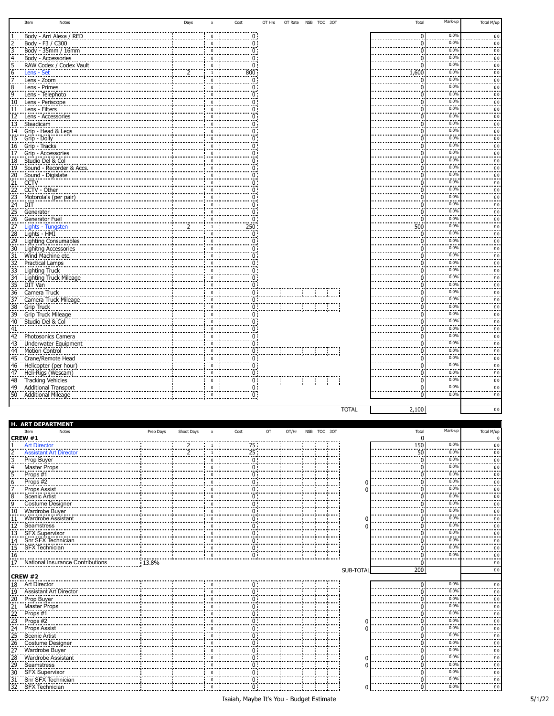|                 | Item<br>Notes                                                     | Days | $\pmb{\chi}$    | Cost |                                                           | OT Hrs                   | OT Rate  NSB  TOC  30T | Total         | Mark-up      | Total M/up                                      |
|-----------------|-------------------------------------------------------------------|------|-----------------|------|-----------------------------------------------------------|--------------------------|------------------------|---------------|--------------|-------------------------------------------------|
|                 | Body - Arri Alexa / RED                                           |      | $\Omega$        |      | 0                                                         |                          |                        | $\Omega$      | 0.0%         | f.0                                             |
|                 | Body - F3 / C300                                                  |      | $^{\circ}$      |      | ö                                                         |                          |                        | n             | 0.0%         | £O                                              |
|                 | Body - 35mm / 16mm                                                |      | $\mathbf 0$     |      |                                                           |                          |                        | $\Omega$      | 0.0%         | <br>£0                                          |
|                 |                                                                   |      | $\Omega$        |      | n :                                                       |                          |                        | n             | <br>0.0%     | <br>£0                                          |
|                 | Body - Accessories<br>RAW Codex / Codex Vault<br>Lens - Set       |      | $\mathbf 0$     |      |                                                           |                          |                        | $\Omega$      | <br>0.0%     |                                                 |
|                 |                                                                   |      | <sup>1</sup>    |      | 800 :                                                     |                          |                        | 1,600         | 0.0%         | $E_{\perp}$<br>£O                               |
|                 | Lens - Zoom                                                       |      | $\mathbf 0$     |      | n:                                                        |                          |                        | $\Omega$      | <br>0.0%     | <br>£O                                          |
|                 | Lens - Primes                                                     |      | <br>$\mathbf 0$ |      | n :                                                       |                          |                        | $\Omega$      | 0.0%         |                                                 |
| 9               |                                                                   |      | $\mathbf 0$     |      | n:                                                        |                          |                        | $\Omega$      | <br>0.0%     | $\epsilon$ 0<br>£O                              |
|                 | Lens - Telephoto<br>Lens - Periscope                              |      | $\mathbf 0$     |      |                                                           |                          |                        | C             | 0.0%         |                                                 |
| $\frac{10}{11}$ |                                                                   |      | $\mathbf 0$     |      |                                                           |                          |                        | O             | 0.0%         | $\epsilon$ 0<br>£0                              |
|                 | <u>Lens - Filters</u>                                             |      | $\Omega$        |      |                                                           |                          |                        | n             | 0.0%         |                                                 |
| 12.             | Lens - Accessories                                                |      | $\Omega$        |      |                                                           |                          |                        | n             | 0.0%         | $\epsilon$ 0                                    |
|                 | 13 Steadicam                                                      |      | $^{\circ}$      |      |                                                           |                          |                        | $\Omega$      | 0.0%         | $\frac{f}{f}$ 0<br>£O                           |
|                 | 14 Grip - Head & Legs                                             |      | $\Omega$        |      |                                                           |                          |                        | $\Omega$      | <br>0.0%     | <br>£O                                          |
|                 | 15 Grip Dolly                                                     |      | $\mathbf 0$     |      |                                                           |                          |                        | $\Omega$      | 0.0%         | .                                               |
|                 | 16 Grip - Tracks                                                  |      | $\mathbf 0$     |      |                                                           |                          |                        | $\Omega$      | <br>0.0%     | $\pounds$ 0<br>                                 |
|                 | 17 Grip - Accessories                                             |      |                 |      |                                                           |                          |                        |               | 0.0%         | £0<br>                                          |
|                 | 18 Studio Del & Col                                               |      | $\mathbf 0$     |      |                                                           |                          |                        | O             | 0.0%         | $\underline{\epsilon}$ 0                        |
|                 | 19 Sound - Recorder & Accs.                                       |      | $\pmb{0}$<br>   |      |                                                           |                          |                        | $\Omega$<br>n | <br>0.0%     | £O<br>                                          |
|                 | 20 Sound - Digislate                                              |      | $\mathbf 0$     |      |                                                           |                          |                        |               | 0.0%         | £0<br>                                          |
|                 | 21 CCTV<br>22 CCTV                                                |      | $\Omega$        |      |                                                           |                          |                        | n             | 0.0%         | $\stackrel{f}{\ldots}$                          |
|                 | CCTV - Other                                                      |      | $\mathbf 0$     |      |                                                           |                          |                        | $\Omega$      | 0.0%         | £0<br>$\frac{2}{2}$                             |
|                 | 23 Motorola's (per pair)                                          |      | $^{\circ}$      |      |                                                           |                          |                        | $\Omega$      | 0.0%         |                                                 |
| $\frac{24}{3}$  | DIT                                                               |      | $\mathbf 0$<br> |      |                                                           |                          |                        | $\Omega$      |              | £O<br>                                          |
| $\frac{25}{3}$  | Generator                                                         |      | $\Omega$        |      | n :                                                       |                          |                        | $\Omega$      | 0.0%<br>0.0% | $\stackrel{\scriptstyle \varepsilon}{\ldots}$ 0 |
|                 | 26 Generator Fuel<br>27 Lights - Tungsten<br>27 Lights - Tungsten |      | $\mathbf 0$<br> |      | 0 :                                                       |                          |                        | $\Omega$<br>. | 0.0%         | f.0                                             |
|                 |                                                                   |      | <sup>1</sup>    |      | 250:                                                      |                          |                        | 500           | 0.0%         | £O<br>                                          |
|                 | 28 Lights HMI                                                     |      | $\pmb{0}$<br>   |      | 0:                                                        |                          |                        | $\Omega$      | 0.0%         | £0<br>                                          |
|                 | 29 Lighting Consumables                                           |      | $\Omega$        |      | 0                                                         |                          |                        | n             |              | £O<br>                                          |
|                 | 30 Lighitng Accessories                                           |      | $\mathbf 0$     |      |                                                           |                          |                        | $\Omega$      | 0.0%<br>0.0% | $E_{\perp}$                                     |
|                 | 31 Wind Machine etc.                                              |      | $\Omega$        |      |                                                           |                          |                        | $\Omega$      | 0.0%         | £O                                              |
|                 | 32 Practical Lamps                                                |      | $\mathbf 0$<br> |      | ი:                                                        |                          |                        | $\Omega$      | 0.0%         | £O<br>                                          |
| 33              | Lighting Truck                                                    |      | $\mathbf 0$     |      |                                                           |                          |                        | $\Omega$      |              | $\epsilon$ 0                                    |
|                 |                                                                   |      | $\mathbf 0$     |      | $\ddot{0}$ :                                              |                          |                        | n             | 0.0%<br>0.0% | £O<br>                                          |
|                 |                                                                   |      | $\pmb{0}$       |      | 0 :                                                       |                          |                        | C             | 0.0%         | $\underline{\epsilon}$ 0                        |
|                 | 36 Camera Truck                                                   |      | $\pmb{0}$       |      | 0:                                                        |                          |                        | n             | 0.0%         | £0<br>                                          |
|                 | 37 Camera Truck Mileage                                           |      | $\mathbf 0$     |      | ი:                                                        |                          |                        | n             | 0.0%         | $\epsilon$ 0                                    |
|                 | 38 Grip Truck                                                     |      | $\Omega$        |      |                                                           |                          |                        | n             | 0.0%         | $\frac{f}{f}$ 0                                 |
|                 | 39 Grip Truck Mileage                                             |      | $^{\circ}$      |      |                                                           |                          |                        | $\Omega$      |              | £O                                              |
|                 | 40 Studio Del & Col                                               |      | $\mathbf 0$<br> |      | 0 :                                                       |                          |                        | $\Omega$      | 0.0%<br>0.0% | £O<br>.                                         |
| 41              |                                                                   |      | $\mathbf 0$     |      | 0 :                                                       |                          |                        | $\Omega$      |              | £O                                              |
| 42              | Photosonics Camera                                                |      | $\mathbf 0$     |      | $\begin{matrix} 0 \ \vdots \ 0 \ \vdots \ 0 \end{matrix}$ |                          |                        | $\Omega$      | 0.0%         | £0<br>                                          |
|                 | 43 Underwater Equipment                                           |      | $\mathbf 0$     |      |                                                           |                          |                        | O             | 0.0%         | $\stackrel{\scriptstyle \varepsilon}{\ldots}$ 0 |
| 44              | <b>Motion Control</b>                                             |      | $\pmb{0}$<br>   |      |                                                           | <u> 1 maanda ka ka m</u> |                        | O             | 0.0%<br>     | £0<br>                                          |
|                 | 45 Crane/Remote Head                                              |      | $\mathbf 0$     |      | 0 i                                                       |                          |                        | n             | 0.0%         | £0<br>                                          |
|                 | 46 Helicopter (per hour)                                          |      | $\Omega$        |      | 0 :                                                       |                          |                        | ſ             | 0.0%<br>     | f. 0                                            |
|                 | 47 Heli-Rigs (Wescam)                                             |      | $\mathbf 0$     |      | öi                                                        |                          |                        | n             | 0.0%         | £0                                              |
|                 | 48 Tracking Vehicles                                              |      | $^{\circ}$      |      | $\frac{9}{0}$                                             |                          |                        | $\Omega$      | 0.0%         | $E_0$                                           |
|                 | 49 Additional Transport                                           |      | $\Omega$<br>    |      | 0 :                                                       |                          |                        | $\Omega$      | 0.0%<br>     | £O<br>                                          |
|                 | 50 Additional Mileage                                             |      | $\Omega$        |      | $\overline{0}$                                            |                          |                        | $\Omega$      | 0.0%         | £0                                              |

| <b>ART DEPARTMENT</b>                                   |           |               |                      |      |           |       |             |           |       |                  |            |
|---------------------------------------------------------|-----------|---------------|----------------------|------|-----------|-------|-------------|-----------|-------|------------------|------------|
| Notes<br>Item<br><b>CREW #1</b>                         | Prep Days | Shoot Days    | $\mathsf{x}$         | Cost | <b>OT</b> | OT/Hr | NSB TOC 30T |           | Total | Mark-up          | Total M/up |
|                                                         |           |               |                      |      |           |       |             |           | 150   | 0.0%             |            |
| Art Director                                            |           | <u>. 2</u>    | $\overline{1}$       | 25   | 75        |       |             |           | 50    | <br>0.0%         | £Ω         |
| <b>Assistant Art Director</b>                           |           | $\frac{2}{2}$ | $\Omega$             |      | 0 :       |       |             |           |       | <br>0.0%         |            |
| Prop Buyer<br>Master Props                              |           |               |                      |      |           |       |             |           |       | 0.0%             | £Ο         |
|                                                         |           |               | $\Omega$<br>$\Omega$ |      |           |       |             |           |       | .                | £0         |
| Props #1                                                |           |               |                      |      |           |       |             |           |       | 0.0%<br><br>0.0% | £0<br>.    |
| Props #2                                                |           |               | $\Omega$             |      |           |       |             | C         |       |                  | £0         |
| Props Assist                                            |           |               |                      |      |           |       |             | $\Omega$  |       | 0.0%<br>.        |            |
| Scenic Artist                                           |           |               | $\Omega$             |      |           |       |             |           |       | 0.0%             |            |
| Costume Designer                                        |           |               | $\Omega$             |      |           |       |             |           |       | 0.0%             |            |
| Wardrobe Buyer                                          |           |               | $\Omega$             |      |           |       |             |           |       | 0.0%             |            |
| <b>Wardrobe Assistant</b>                               |           |               |                      |      | 0         |       |             | C         |       | 0.09             |            |
| 12<br>Seamstress                                        |           |               | $\Omega$             |      |           |       |             | C         |       | 0.09             |            |
| 13 SFX Supervisor                                       |           |               | $\Omega$             |      |           |       |             |           |       | 0.0%             |            |
| 14 Snr SFX Technician                                   |           |               | $\Omega$             | 0    |           |       |             |           |       | 0.0%             |            |
| <b>SFX Technician</b><br>15                             |           |               | $\Omega$             |      | 0:        |       |             |           |       | 0.0%<br>         | £0         |
| $\frac{16}{1}$                                          |           |               | $\Omega$             |      | 0 :       |       |             |           |       | 0.0%             | £Ω         |
| <b>17</b><br>National Insurance Contributions           | 13.8%     |               |                      |      |           |       |             |           |       |                  | £0         |
|                                                         |           |               |                      |      |           |       |             | SUB-TOTAL | 200   |                  | £O         |
| <b>CREW #2</b><br>                                      |           |               |                      |      |           |       |             |           |       |                  |            |
| 18<br><b>Art Director</b>                               |           |               | $\Omega$             |      | 0 :       |       |             |           |       | 0.0%<br>.        | £0         |
| Assistant Art Director<br>19                            |           |               | $\Omega$             |      | 0:        |       |             |           |       | 0.0%<br>         | £0         |
|                                                         |           |               | $\Omega$             |      | ი :       |       |             |           |       | 0.0%<br>         | £O         |
| 20 Prop Buyer<br>21 Master Props                        |           |               | $\Omega$             |      | 0 :       |       |             |           |       | 0.0%<br>         | £0         |
|                                                         |           |               | $\Omega$             |      | ი:        |       |             |           |       | 0.0%             | £0         |
| $1.3$ Props #2<br>24 Props #2                           |           |               | $\Omega$             |      | 0 :       |       |             | C         |       | <br>0.0%         | <br>£0     |
|                                                         |           |               | $\Omega$             |      | 0:        |       |             | ſ         |       | <br>0.0%         | <br>£0     |
| 24 Props Assist<br>25 Scenic Artist<br>25 Scenic Artist |           |               | $\Omega$             |      | 0 :       |       |             |           |       | <br>0.0%         | <br>£O     |
| Costume Designer<br>26                                  |           |               | $\Omega$             |      | <br>ი:    |       |             |           |       | <br>0.0%         | <br>£0     |
| <br>27<br><b>Wardrobe Buyer</b>                         |           |               | $\Omega$             |      | 0 :       |       |             |           |       | <br>0.0%         | <br>£0     |
| <br>$\overline{28}$<br><b>Wardrobe Assistant</b>        |           |               | $\Omega$             |      | <br>0 :   |       |             | C         |       | <br>0.0%         | <br>£0     |
| <br>29 Seamstress                                       |           |               | $\Omega$             |      | 0:        |       |             |           |       | <br>0.0%         | <br>£0     |
| <b>SFX Supervisor</b><br>30                             |           |               | $\Omega$             |      | .<br>0:   |       |             |           |       | 0.0%             | .<br>£0    |
| .<br><br>31<br>Snr SFX Technician                       |           |               | $\Omega$             |      | <br>0:    |       |             |           |       | 0.0%             | <br>£0     |
| .<br><br><b>SFX Technician</b><br>32                    |           |               | $\overline{0}$       |      | .<br>0:   |       |             | ŋ         |       | 0.0%             | <br>£O     |

Isaiah, Maybe It's You - Budget Estimate 5/1/22

TOTAL  $2,100$   $\epsilon$  0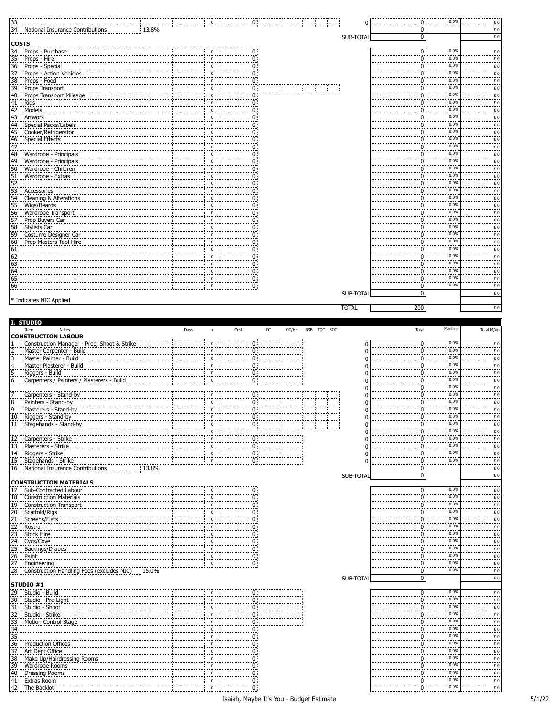| 33                                                                              |                                                                                                                                                                              |      | $\mathbf 0$                 |      | öΤ                                        |             | 0            | 0           | 0.0%              | £Ο<br>                                                                                                                                                                                                                                                                                                                                                                                                                                                                                                             |
|---------------------------------------------------------------------------------|------------------------------------------------------------------------------------------------------------------------------------------------------------------------------|------|-----------------------------|------|-------------------------------------------|-------------|--------------|-------------|-------------------|--------------------------------------------------------------------------------------------------------------------------------------------------------------------------------------------------------------------------------------------------------------------------------------------------------------------------------------------------------------------------------------------------------------------------------------------------------------------------------------------------------------------|
|                                                                                 | 34 Mational Insurance Contributions                                                                                                                                          |      |                             |      |                                           |             |              | $\mathbf 0$ |                   | £O                                                                                                                                                                                                                                                                                                                                                                                                                                                                                                                 |
| <b>COSTS</b>                                                                    |                                                                                                                                                                              |      |                             |      |                                           |             | SUB-TOTAL    | 0           |                   | £O                                                                                                                                                                                                                                                                                                                                                                                                                                                                                                                 |
|                                                                                 | 34 Props - Purchase                                                                                                                                                          |      | $\mathbf 0$                 |      |                                           |             |              | 0           | 0.0%              |                                                                                                                                                                                                                                                                                                                                                                                                                                                                                                                    |
| 35                                                                              | Props - Hire                                                                                                                                                                 |      | $\mathbf 0$                 |      | $\frac{0}{0}$                             |             |              | 0           | 0.0%              | f(<br>$\frac{f}{f}$                                                                                                                                                                                                                                                                                                                                                                                                                                                                                                |
|                                                                                 |                                                                                                                                                                              |      | 0                           |      | 0:                                        |             |              | ŋ           | 0.0%              |                                                                                                                                                                                                                                                                                                                                                                                                                                                                                                                    |
|                                                                                 |                                                                                                                                                                              |      | $\Omega$                    |      | Ö.                                        |             |              |             | 0.0%              | $\frac{1}{2}$                                                                                                                                                                                                                                                                                                                                                                                                                                                                                                      |
| $\frac{38}{100}$                                                                | Props - Food                                                                                                                                                                 |      | $\mathbf 0$                 |      | 0:                                        |             |              | 0           | 0.0%              | f.0                                                                                                                                                                                                                                                                                                                                                                                                                                                                                                                |
| 39                                                                              | Props Transport                                                                                                                                                              |      | $\pmb{0}$                   |      | 0 :                                       |             |              | O           | $0.0\%$<br>0.0%   | $\frac{1}{2}$                                                                                                                                                                                                                                                                                                                                                                                                                                                                                                      |
| 40                                                                              | Props Transport Mileage                                                                                                                                                      |      | $\mathbf 0$                 |      | О:                                        |             |              | O           | 0.0%              | £Ο<br>                                                                                                                                                                                                                                                                                                                                                                                                                                                                                                             |
| 41 Rigs<br>42 Mode<br>43 Artwo                                                  |                                                                                                                                                                              |      | $\mathbf 0$<br>$\Omega$     |      | 0 :<br>O:                                 |             |              | ŋ<br>O      | 0.0%              | $\frac{1}{2}$                                                                                                                                                                                                                                                                                                                                                                                                                                                                                                      |
|                                                                                 | Models<br>Artwork                                                                                                                                                            |      | $\pmb{0}$                   |      | 0 :                                       |             |              | 0           | 0.0%              |                                                                                                                                                                                                                                                                                                                                                                                                                                                                                                                    |
|                                                                                 | 44 Special Packs/Labels                                                                                                                                                      |      | $\mathbf 0$                 |      | 0 :                                       |             |              |             | 0.0%              | 0 £                                                                                                                                                                                                                                                                                                                                                                                                                                                                                                                |
| 45                                                                              | Cooker/Refrigerator                                                                                                                                                          |      | $\mathbf 0$                 |      | 0 :                                       |             |              | ŋ           | 0.0%              | $\begin{array}{c}\n\text{if } 0 \\ \text{if } 0\n\end{array}$                                                                                                                                                                                                                                                                                                                                                                                                                                                      |
|                                                                                 | Special Effects                                                                                                                                                              |      | $\pmb{0}$                   |      | 0 :                                       |             |              | O           | 0.0%              | £O                                                                                                                                                                                                                                                                                                                                                                                                                                                                                                                 |
| $\frac{46}{47}$                                                                 |                                                                                                                                                                              |      | $\Omega$                    |      | 0 :                                       |             |              |             | 0.0%              | $\frac{1}{2}$                                                                                                                                                                                                                                                                                                                                                                                                                                                                                                      |
| 48                                                                              | Wardrobe - Principals                                                                                                                                                        |      | $\mathbf 0$                 |      | 0 :                                       |             |              |             | 0.0%              | 0 £                                                                                                                                                                                                                                                                                                                                                                                                                                                                                                                |
| 49                                                                              | Wardrobe - Principals                                                                                                                                                        |      | $\mathbf 0$                 |      | 0:                                        |             |              |             | 0.0%              | $\frac{1}{2}$                                                                                                                                                                                                                                                                                                                                                                                                                                                                                                      |
| 50                                                                              | Wardrobe - Children                                                                                                                                                          |      | $\mathbf 0$                 |      | 0 :                                       |             |              | 0           | 0.0%<br>0.0%      | $rac{f}{f}$ 0                                                                                                                                                                                                                                                                                                                                                                                                                                                                                                      |
|                                                                                 | Maturicus - Children<br>51 Wardrobe - Extras<br>52 Accessories<br>53 Accessories<br>54 Cleaning & Alterations                                                                |      | $\mathbf 0$                 |      | О:<br>öĪ                                  |             |              | O           | 0.0%              |                                                                                                                                                                                                                                                                                                                                                                                                                                                                                                                    |
|                                                                                 |                                                                                                                                                                              |      | $\Omega$<br>0               |      |                                           |             |              |             | 0.0%              | $\frac{1}{f}$                                                                                                                                                                                                                                                                                                                                                                                                                                                                                                      |
|                                                                                 |                                                                                                                                                                              |      | $\mathbf 0$                 |      | 0 :<br>0 :                                |             |              |             | 0.09              | $\begin{array}{c} 0 \\ E \\ E \end{array}$                                                                                                                                                                                                                                                                                                                                                                                                                                                                         |
|                                                                                 | 55 Wigs/Beards                                                                                                                                                               |      | $\mathbf 0$                 |      | 0 i                                       |             |              | 0           | 0.0%              | £Ο                                                                                                                                                                                                                                                                                                                                                                                                                                                                                                                 |
|                                                                                 |                                                                                                                                                                              |      | 0                           |      | 0 :                                       |             |              |             | 0.0%              | .                                                                                                                                                                                                                                                                                                                                                                                                                                                                                                                  |
|                                                                                 | 56 Wardrobe Transport<br>57 Prop Buyers Car                                                                                                                                  |      | $\mathbf 0$                 |      | 0 i                                       |             |              |             | 0.0%              | $rac{E}{E}$                                                                                                                                                                                                                                                                                                                                                                                                                                                                                                        |
| .58                                                                             | <b>Stylists Car</b>                                                                                                                                                          |      | $\mathbf 0$                 |      | 0 :                                       |             |              | 0           | 0.0%              |                                                                                                                                                                                                                                                                                                                                                                                                                                                                                                                    |
| 59.                                                                             | Costume Designer Car                                                                                                                                                         |      | $\pmb{0}$                   |      | 0:                                        |             |              | 0           | 0.0%              | $\frac{1}{2}$                                                                                                                                                                                                                                                                                                                                                                                                                                                                                                      |
| $\begin{array}{r} 60 \\ 61 \\ 62 \\ 63 \\ 64 \\ 65 \\ 66 \\ \hline \end{array}$ | Prop Masters Tool Hire                                                                                                                                                       |      | $\mathbf 0$                 |      | 0:                                        |             |              | 0           | 0.0%<br>0.0%      | £Ο<br>                                                                                                                                                                                                                                                                                                                                                                                                                                                                                                             |
|                                                                                 |                                                                                                                                                                              |      | $\mathbf 0$                 |      | 0 :                                       |             |              | ŋ           | 0.0%              | $\frac{1}{2}$                                                                                                                                                                                                                                                                                                                                                                                                                                                                                                      |
|                                                                                 |                                                                                                                                                                              |      | $^{\circ}$<br>$\pmb{0}$     |      | 0 :<br>0 :                                |             |              | 0           | 0.0%              |                                                                                                                                                                                                                                                                                                                                                                                                                                                                                                                    |
|                                                                                 |                                                                                                                                                                              |      | $\mathbf 0$                 |      | 0:                                        |             |              |             | 0.09              | <br>$\overline{f}$                                                                                                                                                                                                                                                                                                                                                                                                                                                                                                 |
|                                                                                 |                                                                                                                                                                              |      | $\mathbf 0$                 |      | 0 :                                       |             |              | 0           | 0.0%              | £O                                                                                                                                                                                                                                                                                                                                                                                                                                                                                                                 |
|                                                                                 |                                                                                                                                                                              |      | $\mathbf 0$                 |      | $\overline{0}$                            |             |              | $\mathbf 0$ | 0.0%              | £O                                                                                                                                                                                                                                                                                                                                                                                                                                                                                                                 |
|                                                                                 |                                                                                                                                                                              |      |                             |      |                                           |             | SUB-TOTAL    | 0           |                   | £O                                                                                                                                                                                                                                                                                                                                                                                                                                                                                                                 |
|                                                                                 | * Indicates NIC Applied                                                                                                                                                      |      |                             |      |                                           |             |              |             |                   |                                                                                                                                                                                                                                                                                                                                                                                                                                                                                                                    |
|                                                                                 |                                                                                                                                                                              |      |                             |      |                                           |             | <b>TOTAL</b> | 200         |                   | £O                                                                                                                                                                                                                                                                                                                                                                                                                                                                                                                 |
|                                                                                 |                                                                                                                                                                              |      |                             |      |                                           |             |              |             |                   |                                                                                                                                                                                                                                                                                                                                                                                                                                                                                                                    |
|                                                                                 | I. STUDIO<br>Item<br>Notes                                                                                                                                                   | Days | x                           | Cost | OT/Hr<br>OT                               | NSB TOC 30T |              | Total       | Mark-up           | Total M/up                                                                                                                                                                                                                                                                                                                                                                                                                                                                                                         |
|                                                                                 | <b>CONSTRUCTION LABOUR</b>                                                                                                                                                   |      |                             |      |                                           |             |              |             |                   |                                                                                                                                                                                                                                                                                                                                                                                                                                                                                                                    |
|                                                                                 | Construction Manager - Prep, Shoot & Strike                                                                                                                                  |      | $\mathbf 0$                 |      | $\overline{0}$                            |             | 0            | 0           | 0.0%              | . £ 0                                                                                                                                                                                                                                                                                                                                                                                                                                                                                                              |
|                                                                                 |                                                                                                                                                                              |      |                             |      |                                           |             | ŋ            | ŋ           | 0.0%              | £O                                                                                                                                                                                                                                                                                                                                                                                                                                                                                                                 |
|                                                                                 | Master Carpenter - Build                                                                                                                                                     |      | $\mathbf 0$                 |      |                                           |             |              |             |                   |                                                                                                                                                                                                                                                                                                                                                                                                                                                                                                                    |
|                                                                                 | Master Painter - Build                                                                                                                                                       |      | $\mathbf 0$                 |      | $\overline{0}$<br>$\overline{0}$          |             |              | П           | 0.0%              |                                                                                                                                                                                                                                                                                                                                                                                                                                                                                                                    |
|                                                                                 | Master Plasterer - Build                                                                                                                                                     |      | $\overline{\mathbf{0}}$     |      | ÖΪ                                        |             |              | 0           | 0.0%              | $\frac{f}{f}$<br>                                                                                                                                                                                                                                                                                                                                                                                                                                                                                                  |
|                                                                                 | Riggers - Build                                                                                                                                                              |      | $\mathbf{0}$                |      | $\overline{0}$ :                          |             |              | П           | 0.0%              | $\epsilon$                                                                                                                                                                                                                                                                                                                                                                                                                                                                                                         |
| 6                                                                               | Carpenters / Painters / Plasterers - Build                                                                                                                                   |      | $\mathbf 0$                 |      | $\overline{0}$ .                          |             |              | 0           | 0.0%              | £<br>                                                                                                                                                                                                                                                                                                                                                                                                                                                                                                              |
|                                                                                 |                                                                                                                                                                              |      | $^{\circ}$                  |      |                                           |             |              | ŋ           | 0.0%<br>0.0%      |                                                                                                                                                                                                                                                                                                                                                                                                                                                                                                                    |
|                                                                                 | Carpenters - Stand-by                                                                                                                                                        |      | $\mathbf 0$                 |      | 0 :<br>0 :                                |             | ŋ<br>ſ       |             | 0.0%              | $\frac{1}{2}$                                                                                                                                                                                                                                                                                                                                                                                                                                                                                                      |
| $\ddot{\mathbf{8}}$                                                             | Painters - Stand-by<br>Plasterers - Stand-by                                                                                                                                 |      | $\mathbf 0$                 |      |                                           |             | 0            |             | $\frac{1}{0.0\%}$ |                                                                                                                                                                                                                                                                                                                                                                                                                                                                                                                    |
| 10                                                                              | Riggers - Stand-by                                                                                                                                                           |      |                             |      | $\overline{0}$<br>0 :                     |             | 0            | 0           | $0.0\%$           | $rac{f}{f}$<br>£Ο<br>                                                                                                                                                                                                                                                                                                                                                                                                                                                                                              |
|                                                                                 | 11 Stagehands - Stand-by                                                                                                                                                     |      | $\Omega$                    |      | 0.1                                       |             | 0            | ŋ           | 0.0%              | £O                                                                                                                                                                                                                                                                                                                                                                                                                                                                                                                 |
|                                                                                 |                                                                                                                                                                              |      | $\Omega$                    |      |                                           |             | ŋ            | 0           | 0.0%              | $\frac{1}{2}$                                                                                                                                                                                                                                                                                                                                                                                                                                                                                                      |
|                                                                                 | 12 Carpenters - Strike                                                                                                                                                       |      | $\mathbf 0$                 |      | 0.1                                       |             | ŋ            | 0           | 0.0%              | $\underline{\epsilon}$ 0                                                                                                                                                                                                                                                                                                                                                                                                                                                                                           |
|                                                                                 |                                                                                                                                                                              |      | $\mathbf 0$                 |      | 0 :                                       |             |              | 0           | 0.0%<br>0.0%      | $\epsilon$                                                                                                                                                                                                                                                                                                                                                                                                                                                                                                         |
|                                                                                 | 13 Plasterers - Strike<br>14 Riggers - Strike                                                                                                                                |      | $\mathbf{0}$<br>$\mathbf 0$ |      | $\overline{0}$                            |             | $\Omega$     | 0<br>0      | 0.0%              | £Ο<br><br>£O                                                                                                                                                                                                                                                                                                                                                                                                                                                                                                       |
|                                                                                 | 15 Stagehands - Strike<br>.3.8%                                                                                                                                              |      |                             |      | $\overline{0}$ :                          |             |              | 0           | .                 | $\begin{array}{c}\n\ldots \\ E\n\end{array}$                                                                                                                                                                                                                                                                                                                                                                                                                                                                       |
|                                                                                 | 16 National Insurance Contributions                                                                                                                                          |      |                             |      |                                           |             | SUB-TOTAL    | $\pmb{0}$   |                   | £                                                                                                                                                                                                                                                                                                                                                                                                                                                                                                                  |
|                                                                                 | <b>CONSTRUCTION MATERIALS</b>                                                                                                                                                |      |                             |      |                                           |             |              |             |                   |                                                                                                                                                                                                                                                                                                                                                                                                                                                                                                                    |
|                                                                                 | 17 Sub-Contracted Labour                                                                                                                                                     |      | $\mathbf 0$                 |      | 0 :                                       |             |              | 0           | 0.0%              | $\frac{f}{f}$                                                                                                                                                                                                                                                                                                                                                                                                                                                                                                      |
|                                                                                 | 18 Construction Materials                                                                                                                                                    |      | $\mathbf 0$                 |      | $\overline{0}$                            |             |              | ŋ           | 0.0%              | £O                                                                                                                                                                                                                                                                                                                                                                                                                                                                                                                 |
|                                                                                 | 19 Construction Transport                                                                                                                                                    |      | $\Omega$                    |      | 0 i                                       |             |              |             | 0.0%<br>0.0%      | $\frac{1}{2}$                                                                                                                                                                                                                                                                                                                                                                                                                                                                                                      |
|                                                                                 |                                                                                                                                                                              |      | $\mathbf 0$<br>$\mathbf{0}$ |      | 0:                                        |             |              |             |                   |                                                                                                                                                                                                                                                                                                                                                                                                                                                                                                                    |
|                                                                                 |                                                                                                                                                                              |      | $\mathbf 0$                 |      | $\overline{0}$ :<br>0:                    |             |              |             | 0.0%<br>0.0%      | $\begin{array}{c} E\ 0 \\ E\ 0 \end{array}$                                                                                                                                                                                                                                                                                                                                                                                                                                                                        |
|                                                                                 |                                                                                                                                                                              |      | $\mathbf 0$                 |      | 0 :                                       |             |              |             | 0.0%              | £<br>$\frac{1}{2}$                                                                                                                                                                                                                                                                                                                                                                                                                                                                                                 |
|                                                                                 |                                                                                                                                                                              |      | $\mathbf{0}$                |      | öĪ                                        |             |              |             | 0.0%              |                                                                                                                                                                                                                                                                                                                                                                                                                                                                                                                    |
|                                                                                 | Backings/Drapes                                                                                                                                                              |      | $\pmb{0}$                   |      | 0.                                        |             |              |             | 0.0%              | $\frac{1}{2}$                                                                                                                                                                                                                                                                                                                                                                                                                                                                                                      |
|                                                                                 |                                                                                                                                                                              |      | $\mathbf{0}$                |      |                                           |             |              | 0           | 0.09              |                                                                                                                                                                                                                                                                                                                                                                                                                                                                                                                    |
|                                                                                 | 13. Consumer<br>20. Scaffold/Rigs<br>21. Screens/Flats<br>23. Stock Hire<br>23. Stock Hire<br>25. Backings/Drag<br>26. Backings/Drag<br>26. Backings/Drag<br>27. Engineering |      | $\bf{0}$                    |      | $\begin{matrix} 0 \\ 0 \end{matrix}$      |             |              | 0           | 0.0%              | $\begin{array}{c}\nE & 0 \\ E & 0 \\ E & 0\n\end{array}$<br>                                                                                                                                                                                                                                                                                                                                                                                                                                                       |
|                                                                                 | 28 Construction Handling Fees (excludes NIC)<br>15.0%                                                                                                                        |      |                             |      |                                           |             |              | ö           | 0.0%              | £O                                                                                                                                                                                                                                                                                                                                                                                                                                                                                                                 |
|                                                                                 |                                                                                                                                                                              |      |                             |      |                                           |             | SUB-TOTAL    | 0           |                   | E                                                                                                                                                                                                                                                                                                                                                                                                                                                                                                                  |
|                                                                                 | STUDIO #1                                                                                                                                                                    |      | $\mathbf 0$                 |      |                                           |             |              | 0           | 0.0%              |                                                                                                                                                                                                                                                                                                                                                                                                                                                                                                                    |
|                                                                                 | 29 Studio - Build                                                                                                                                                            |      | 0                           |      | 0 :                                       |             |              | 0           | 0.0%              | $\epsilon$<br>£Ο                                                                                                                                                                                                                                                                                                                                                                                                                                                                                                   |
|                                                                                 | 30 Studio - Pre-Light                                                                                                                                                        |      | $\mathbf 0$                 |      | $\begin{matrix} 0 \\ 0 \\ 0 \end{matrix}$ |             |              | ŋ           | 0.0%              | .                                                                                                                                                                                                                                                                                                                                                                                                                                                                                                                  |
|                                                                                 |                                                                                                                                                                              |      | $\Omega$                    |      | $\overline{0}$ :                          |             |              | n           | 0.0%              |                                                                                                                                                                                                                                                                                                                                                                                                                                                                                                                    |
|                                                                                 | Motion Control Stage                                                                                                                                                         |      | $\pmb{0}$                   |      | 0 :                                       |             |              | O           | 0.0%              | $rac{E}{E}$                                                                                                                                                                                                                                                                                                                                                                                                                                                                                                        |
|                                                                                 |                                                                                                                                                                              |      | $\mathbf 0$                 |      | 0:                                        |             |              | n           | $\frac{1}{0.0\%}$ |                                                                                                                                                                                                                                                                                                                                                                                                                                                                                                                    |
|                                                                                 |                                                                                                                                                                              |      | $\mathbf 0$                 |      | O :                                       |             |              | ŋ           | 0.0%              | $\begin{array}{c}\n\ldots \\ \hline\n\vdots \\ \hline\n\vdots \\ \hline\n\vdots \\ \hline\n\vdots \\ \hline\n\vdots \\ \hline\n\vdots \\ \hline\n\vdots \\ \hline\n\vdots \\ \hline\n\vdots \\ \hline\n\vdots \\ \hline\n\vdots \\ \hline\n\vdots \\ \hline\n\vdots \\ \hline\n\vdots \\ \hline\n\vdots \\ \hline\n\vdots \\ \hline\n\vdots \\ \hline\n\vdots \\ \hline\n\vdots \\ \hline\n\vdots \\ \hline\n\vdots \\ \hline\n\vdots \\ \hline\n\vdots \\ \hline\n\vdots \\ \hline\n\vdots \\ \hline\n\vdots \\ $ |
|                                                                                 | <b>Production Offices</b>                                                                                                                                                    |      | $\mathbf 0$                 |      | ö                                         |             |              | ſ           | 0.0%              | £O                                                                                                                                                                                                                                                                                                                                                                                                                                                                                                                 |
|                                                                                 | 30. Studio - Pre-Light<br>32. Studio - Sheet<br>32. Studio - Strike<br>33. Motion Control 9<br>33. Motion Control 9<br>35. Production Office<br>37. Art Dept Office          |      | $\Omega$                    |      | 0 :                                       |             |              |             | 0.0%<br>0.0%      | $\frac{1}{2}$                                                                                                                                                                                                                                                                                                                                                                                                                                                                                                      |
|                                                                                 | 38 Make Up/Hairdressing Rooms                                                                                                                                                |      | $\mathbf 0$<br>$\mathbf 0$  |      | ö.                                        |             |              | O           |                   | 0 £                                                                                                                                                                                                                                                                                                                                                                                                                                                                                                                |
|                                                                                 | 39 Wardrobe Rooms                                                                                                                                                            |      | 0                           |      | öi<br>О:                                  |             |              | 0           | 0.0%<br>0.0%      | $\epsilon$                                                                                                                                                                                                                                                                                                                                                                                                                                                                                                         |
|                                                                                 | 40 Dressing Rooms<br>41 Extras Room                                                                                                                                          |      | $\mathbf 0$                 |      | 0 :<br>ö                                  |             |              | 0           | 0.0%<br>0.0%      | £ 0<br>E 0<br>$\begin{array}{c}\n\ldots \\ E\n\end{array}$                                                                                                                                                                                                                                                                                                                                                                                                                                                         |

. . . . . . . . . . . . . . . . . . . .

0.0% £ 0

.................<br>0.0%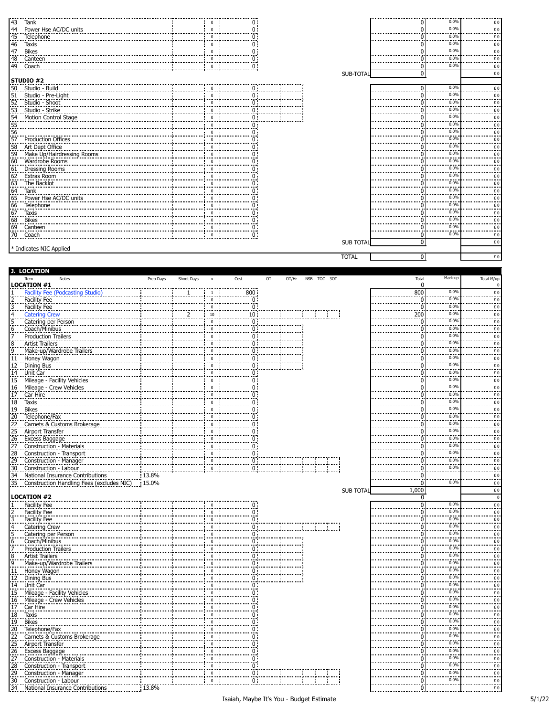|                                           | <b>143</b><br><b>144</b><br><b>144</b><br><b>169</b><br><b>169</b><br><b>169</b><br><b>169</b><br><b>169</b><br><b>169</b><br><b>169</b><br><b>169</b><br><b>169</b><br><b>169</b><br><b>169</b><br><b>169</b><br><b>169</b><br><b>169</b><br><b>169</b><br><b>169</b><br><b>169</b><br><b>169</b><br><b>169</b><br><b>169</b><br><b>169</b><br><b>169</b><br><b>169</b><br><b>169</b><br><b>169</b><br><b>169</b> |           |            |                             |                 |                                      |       |             |                  | 0               | 0.0%         | $\epsilon$                                                                                           |
|-------------------------------------------|--------------------------------------------------------------------------------------------------------------------------------------------------------------------------------------------------------------------------------------------------------------------------------------------------------------------------------------------------------------------------------------------------------------------|-----------|------------|-----------------------------|-----------------|--------------------------------------|-------|-------------|------------------|-----------------|--------------|------------------------------------------------------------------------------------------------------|
|                                           | Power Hse AC/DC units                                                                                                                                                                                                                                                                                                                                                                                              |           |            | $\Omega$                    |                 |                                      |       |             |                  | 0               | 0.09         | $\frac{1}{2}$                                                                                        |
|                                           |                                                                                                                                                                                                                                                                                                                                                                                                                    |           |            | 0                           |                 | 0:                                   |       |             |                  | 0               | 0.0%         | £Ο<br>                                                                                               |
|                                           |                                                                                                                                                                                                                                                                                                                                                                                                                    |           |            | $\mathbf 0$                 |                 | 0 :                                  |       |             |                  | $\Omega$        | 0.0%<br>0.0% | $\frac{1}{2}$                                                                                        |
|                                           |                                                                                                                                                                                                                                                                                                                                                                                                                    |           |            | $\Omega$                    |                 |                                      |       |             |                  | ŋ               | 0.0%         | $\epsilon$                                                                                           |
|                                           |                                                                                                                                                                                                                                                                                                                                                                                                                    |           |            | $\mathbf 0$                 |                 | $\frac{0}{0}$                        |       |             |                  | ŋ               | 0.0%         | £O                                                                                                   |
|                                           | 49 Coach                                                                                                                                                                                                                                                                                                                                                                                                           |           |            | $\mathbf 0$                 |                 |                                      |       |             |                  | 0               |              | £O                                                                                                   |
|                                           | STUDIO #2                                                                                                                                                                                                                                                                                                                                                                                                          |           |            |                             |                 |                                      |       |             | SUB-TOTAL        | $\overline{0}$  |              | £O                                                                                                   |
|                                           | 50 Studio - Build                                                                                                                                                                                                                                                                                                                                                                                                  |           |            | $\Omega$                    |                 | 0 :                                  |       |             |                  | 0               | 0.0%         |                                                                                                      |
|                                           | Studio - Pre-Light                                                                                                                                                                                                                                                                                                                                                                                                 |           |            | $\mathbf{0}$                |                 | 0:                                   |       |             |                  | $\Omega$        | 0.0%         | $E$ 0                                                                                                |
|                                           | 51 Studio - Bully<br>51 Studio - Pre-Lig<br>52 Studio - Shoot<br>53 Studio - Strike                                                                                                                                                                                                                                                                                                                                |           |            | $\overline{0}$              |                 | $\frac{8}{0}$                        |       |             |                  | 0               | 0.09         | $rac{E}{E}$                                                                                          |
|                                           |                                                                                                                                                                                                                                                                                                                                                                                                                    |           |            | $\mathbf 0$                 |                 | 0 :                                  |       |             |                  | 0               | 0.0%         | £Ο                                                                                                   |
|                                           | 53 Studio - Strike<br>54 Motion Control Stage<br>55 Sine Control Stage<br>56 Sine Production Offices<br>56 Art Dept Office<br>59 Art Dept Office<br>59 Make Up/Hairdressing Rooms<br>60 Wardrobe Rooms                                                                                                                                                                                                             |           |            | $\mathbf 0$                 |                 | 0 :                                  |       |             |                  | ŋ               | 0.0%         | .                                                                                                    |
|                                           |                                                                                                                                                                                                                                                                                                                                                                                                                    |           |            | $\Omega$                    |                 | 0:                                   |       |             |                  | O               | 0.0%         | £ 0<br>£ 0                                                                                           |
|                                           |                                                                                                                                                                                                                                                                                                                                                                                                                    |           |            | $\mathbf 0$                 |                 | 0 :                                  |       |             |                  | 0               | 0.0%         |                                                                                                      |
|                                           |                                                                                                                                                                                                                                                                                                                                                                                                                    |           |            | $\Omega$                    |                 | 0 i                                  |       |             |                  | n               | 0.0%         | $\begin{array}{c} 0 \\ E \\ E \end{array}$                                                           |
|                                           |                                                                                                                                                                                                                                                                                                                                                                                                                    |           |            | 0                           |                 | 0 :                                  |       |             |                  | ŋ               | 0.0%         | £Ο<br>                                                                                               |
|                                           |                                                                                                                                                                                                                                                                                                                                                                                                                    |           |            | $\mathbf 0$                 |                 |                                      |       |             |                  | $\Omega$        | 0.0%         | $\begin{array}{c}\n\cdot & \cdot \\ \cdot & \cdot \\ \hline\n\vdots & \vdots \\ \hline\n\end{array}$ |
|                                           |                                                                                                                                                                                                                                                                                                                                                                                                                    |           |            | $\Omega$                    |                 |                                      |       |             |                  | n               | 0.0%<br>0.0% |                                                                                                      |
|                                           |                                                                                                                                                                                                                                                                                                                                                                                                                    |           |            | $\mathbf 0$                 |                 |                                      |       |             |                  |                 | 0.0%         | $rac{E}{E}$                                                                                          |
|                                           |                                                                                                                                                                                                                                                                                                                                                                                                                    |           |            | $\mathbf 0$                 |                 |                                      |       |             |                  | n               | 0.0%         |                                                                                                      |
|                                           |                                                                                                                                                                                                                                                                                                                                                                                                                    |           |            | $\mathbf 0$<br>$\mathbf 0$  |                 | ሰ:                                   |       |             |                  | ŋ               | 0.0%         | £O<br>                                                                                               |
|                                           | Power Hse AC/DC units                                                                                                                                                                                                                                                                                                                                                                                              |           |            | $\Omega$                    |                 |                                      |       |             |                  |                 | 0.0%         | $\frac{1}{2}$                                                                                        |
|                                           | 160 Mardrobe Rooms<br>161 Dressing Rooms<br>162 Extras Room<br>162 The Backlot<br>164 The Backlot<br>164 The Backlot<br>165 Dower Hse AC/DC<br>165 Dower Hse AC/DC<br>165 The Backlot<br>165 The Backlon<br>166 The Backlon<br>166 The Backlon<br>166                                                                                                                                                              |           |            | $\mathbf 0$                 |                 |                                      |       |             |                  |                 | 0.0%         | $\epsilon$                                                                                           |
|                                           |                                                                                                                                                                                                                                                                                                                                                                                                                    |           |            | $\mathbf 0$                 |                 | n:                                   |       |             |                  |                 | 0.0%         | $rac{E}{E}$                                                                                          |
|                                           |                                                                                                                                                                                                                                                                                                                                                                                                                    |           |            | $\bf{0}$                    |                 |                                      |       |             |                  | ŋ               | 0.0%         | £Ο                                                                                                   |
|                                           |                                                                                                                                                                                                                                                                                                                                                                                                                    |           |            | $\overline{0}$              |                 | $\frac{0}{2}$                        |       |             |                  | $\Omega$        | 0.0%         | <br>£O                                                                                               |
|                                           |                                                                                                                                                                                                                                                                                                                                                                                                                    |           |            | $\Omega$                    |                 | 0 :                                  |       |             |                  | 0               | 0.0%         | ة :<br>C £                                                                                           |
|                                           |                                                                                                                                                                                                                                                                                                                                                                                                                    |           |            |                             |                 |                                      |       |             | <b>SUB TOTAL</b> | $\overline{0}$  |              | £O                                                                                                   |
|                                           | * Indicates NIC Applied                                                                                                                                                                                                                                                                                                                                                                                            |           |            |                             |                 |                                      |       |             |                  |                 |              |                                                                                                      |
|                                           |                                                                                                                                                                                                                                                                                                                                                                                                                    |           |            |                             |                 |                                      |       |             | <b>TOTAL</b>     | 0               |              | £O                                                                                                   |
|                                           |                                                                                                                                                                                                                                                                                                                                                                                                                    |           |            |                             |                 |                                      |       |             |                  |                 |              |                                                                                                      |
|                                           | J. LOCATION                                                                                                                                                                                                                                                                                                                                                                                                        |           |            |                             |                 |                                      |       |             |                  |                 |              |                                                                                                      |
|                                           | Item<br>Notes                                                                                                                                                                                                                                                                                                                                                                                                      | Prep Days | Shoot Days | $\boldsymbol{\mathsf{x}}$   | Cost            | OT                                   | OT/Hr | NSB TOC 30T |                  | Total           | Mark-up      | Total M/up                                                                                           |
|                                           | <b>LOCATION #1</b>                                                                                                                                                                                                                                                                                                                                                                                                 |           |            |                             |                 |                                      |       |             |                  | 0               | 0.0%         | O                                                                                                    |
| $rac{1}{2}$<br>$rac{1}{5}$<br>$rac{1}{5}$ | Facility Fee (Podcasting                                                                                                                                                                                                                                                                                                                                                                                           |           | -1         | $\frac{1}{2}$               | $\frac{800}{0}$ |                                      |       |             |                  | 800<br>$\Omega$ | 0.0%         | $\begin{array}{c}\n\text{f} \\ \text{f} \\ \text{f}\n\end{array}$                                    |
|                                           | Facility Fee<br>Facility Fee                                                                                                                                                                                                                                                                                                                                                                                       |           |            | $\overline{0}$<br>$\pmb{0}$ | 0:              |                                      |       |             |                  | $\Omega$        | 0.0%         |                                                                                                      |
|                                           | <b>Catering Crew</b>                                                                                                                                                                                                                                                                                                                                                                                               |           |            | 10                          | 10:             |                                      |       |             |                  | 200             | 0.09         | $\begin{array}{c} \n\text{f} & 0 \\ \text{f} & 0\n\end{array}$                                       |
|                                           | Catering per Person                                                                                                                                                                                                                                                                                                                                                                                                |           |            | $\mathbf 0$                 |                 | Ö.                                   |       |             |                  | 0               | 0.0%         | £Ο                                                                                                   |
|                                           |                                                                                                                                                                                                                                                                                                                                                                                                                    |           |            | $\mathbf 0$                 |                 | 0 :                                  |       |             |                  | ö               | 0.0%         | .                                                                                                    |
|                                           |                                                                                                                                                                                                                                                                                                                                                                                                                    |           |            | $\Omega$                    |                 | ΰŦ                                   |       |             |                  | O               | 0.0%         | £ 0<br>£ 0                                                                                           |
|                                           |                                                                                                                                                                                                                                                                                                                                                                                                                    |           |            | $\mathbf 0$                 |                 | 0 :                                  |       |             |                  | $\Omega$        | 0.0%         |                                                                                                      |
|                                           | Make-up/Wardrobe Trailers                                                                                                                                                                                                                                                                                                                                                                                          |           |            | $\Omega$                    |                 | 0 :                                  |       |             |                  | n               | 0.0%         | $\begin{array}{c} \text{E} \ 0 \\ \text{E} \ 0 \end{array}$                                          |
|                                           |                                                                                                                                                                                                                                                                                                                                                                                                                    |           |            | $\Omega$                    |                 | $\overline{0}$                       |       |             |                  | n               | 0.0%         | £Ο<br>                                                                                               |
|                                           |                                                                                                                                                                                                                                                                                                                                                                                                                    |           |            | $\mathbf 0$                 |                 | 0 i                                  |       |             |                  | $\Omega$        | 0.0%         | $\begin{array}{c}\n\cdot & \cdot \\ \cdot & \cdot \\ \hline\n\vdots & \vdots \\ \hline\n\end{array}$ |
|                                           |                                                                                                                                                                                                                                                                                                                                                                                                                    |           |            | $\Omega$                    |                 | 0 :                                  |       |             |                  | n               | 0.0%         |                                                                                                      |
|                                           | Mileage - Facility Vehicles                                                                                                                                                                                                                                                                                                                                                                                        |           |            | $\mathbf 0$                 |                 | ö.                                   |       |             |                  |                 | 0.0%         |                                                                                                      |
|                                           |                                                                                                                                                                                                                                                                                                                                                                                                                    |           |            | $\mathbf 0$                 |                 |                                      |       |             |                  | ŋ               | 0.0%<br>0.0% | $\begin{array}{c}\nE & 0 \\ E & 0 \\ \hline\nE & 0\n\end{array}$                                     |
|                                           | Coach/Minibus<br>Coach/Minibus<br>7. Production Trailers<br>8. Artist Trailers<br>9. Make-up/Wardrobe Trailer<br>9. Make-up/Wardrobe Trailer<br>1.1. Dining Bus<br>1.4. Unit Car<br>1.5. Mileage - Facility Vehicles<br>1.6. Mileage - Crew Vehi                                                                                                                                                                   |           |            | $\mathbf 0$                 |                 | 0:                                   |       |             |                  | ŋ               | 0.0%         |                                                                                                      |
|                                           |                                                                                                                                                                                                                                                                                                                                                                                                                    |           |            | $\mathbf 0$<br>$\Omega$     |                 | 0 :                                  |       |             |                  |                 | 0.0%         | $\frac{1}{2}$                                                                                        |
|                                           |                                                                                                                                                                                                                                                                                                                                                                                                                    |           |            |                             |                 | ი :                                  |       |             |                  |                 | 0.0%         | £<br>£O                                                                                              |
|                                           |                                                                                                                                                                                                                                                                                                                                                                                                                    |           |            | $\Omega$                    |                 | 0 :                                  |       |             |                  | n               | 0.0%         |                                                                                                      |
|                                           |                                                                                                                                                                                                                                                                                                                                                                                                                    |           |            | 0                           |                 | 0 :                                  |       |             |                  | 0               | 0.0%         | $\frac{1}{2}$<br>£                                                                                   |
|                                           |                                                                                                                                                                                                                                                                                                                                                                                                                    |           |            | $\overline{0}$              |                 | 0:                                   |       |             |                  | $\Omega$        | 0.0%         |                                                                                                      |
|                                           |                                                                                                                                                                                                                                                                                                                                                                                                                    |           |            | $\overline{0}$              |                 | $\frac{5}{0}$                        |       |             |                  | n               | 0.0%         | $\begin{array}{c}\n\cdot & \cdot \\ \cdot & \cdot \\ \hline\n\vdots & \vdots \\ \hline\n\end{array}$ |
|                                           |                                                                                                                                                                                                                                                                                                                                                                                                                    |           |            | $\pmb{0}$                   |                 | 0:                                   |       |             |                  | $\Omega$        | 0.0%         |                                                                                                      |
|                                           |                                                                                                                                                                                                                                                                                                                                                                                                                    |           |            | $\mathbf 0$                 |                 | $\frac{0}{0}$                        |       |             |                  | 0               | 0.09         | $rac{E}{E}$                                                                                          |
|                                           | 20 Telephone/Fax<br>22 Carnets & Customs Brokerage<br>25 Carnets & Customs Brokerage<br>26 Civilization - Materials<br>26 Construction - Materials<br>28 Construction - Transport<br>29 Construction - Manager<br>30 Construction - Labour                                                                                                                                                                         |           |            | $\mathbf{0}$                |                 |                                      |       |             |                  | 0               | 0.0%<br>     | £O<br>.                                                                                              |
| $\frac{34}{34}$                           | National Insurance Contributions                                                                                                                                                                                                                                                                                                                                                                                   | 13.8%     |            |                             |                 |                                      |       |             |                  | ö               |              | £ 0<br>£ 0                                                                                           |
|                                           | 35 Construction Handling Fees (excludes NIC)                                                                                                                                                                                                                                                                                                                                                                       | 15.0%     |            |                             |                 |                                      |       |             |                  | $\Omega$        | 0.0%         |                                                                                                      |
|                                           |                                                                                                                                                                                                                                                                                                                                                                                                                    |           |            |                             |                 |                                      |       |             | <b>SUB TOTAL</b> | 1,000           |              | $\pounds$ 0                                                                                          |
|                                           | <b>LOCATION #2</b>                                                                                                                                                                                                                                                                                                                                                                                                 |           |            |                             |                 |                                      |       |             |                  | 0               | 0.0%         | $\overline{\mathbf{c}}$                                                                              |
|                                           | <b>Facility Fee</b>                                                                                                                                                                                                                                                                                                                                                                                                |           |            | $\mathbf{0}$                |                 | $\frac{0}{0}$                        |       |             |                  | 0<br>0          | 0.0%         | £O<br>.                                                                                              |
|                                           |                                                                                                                                                                                                                                                                                                                                                                                                                    |           |            | $\Omega$                    | 0:              |                                      |       |             |                  | ŋ               | 0.0%         | $\begin{array}{c}\n\cdot & \cdot \\ \cdot & \cdot \\ \hline\n\vdots & \vdots \\ \hline\n\end{array}$ |
|                                           |                                                                                                                                                                                                                                                                                                                                                                                                                    |           |            | $\mathbf 0$                 |                 | 0:                                   |       |             |                  | O               | 0.0%         |                                                                                                      |
|                                           |                                                                                                                                                                                                                                                                                                                                                                                                                    |           |            | $\mathbf 0$                 |                 | .,<br>0 :                            |       |             |                  | 0               | 0.0%         | $\begin{array}{c}\nE & 0 \\ E & 0 \\ \hline\nE & 0\n\end{array}$                                     |
|                                           |                                                                                                                                                                                                                                                                                                                                                                                                                    |           |            | $\mathbf 0$                 |                 | 0 :                                  |       |             |                  | ŋ               | 0.0%         |                                                                                                      |
|                                           |                                                                                                                                                                                                                                                                                                                                                                                                                    |           |            | $\mathbf 0$                 |                 | - 0--                                |       |             |                  | $\Omega$        | 0.0%         | <br>$\frac{1}{2}$                                                                                    |
|                                           |                                                                                                                                                                                                                                                                                                                                                                                                                    |           |            | $\Omega$                    |                 | $\begin{matrix} 0 \\ 0 \end{matrix}$ |       |             |                  | O               | 0.0%         | $\epsilon$ 0                                                                                         |
|                                           | Make-up/Wardrobe Trailers                                                                                                                                                                                                                                                                                                                                                                                          |           |            | $\mathbf 0$                 |                 | 0 :                                  |       |             |                  | ŋ               | 0.0%         |                                                                                                      |
|                                           |                                                                                                                                                                                                                                                                                                                                                                                                                    |           |            | $\mathbf 0$                 |                 | $\frac{5}{0}$                        |       |             |                  | n               | 0.0%         | $rac{f}{f}$<br>                                                                                      |
|                                           |                                                                                                                                                                                                                                                                                                                                                                                                                    |           |            | 0                           |                 | 0:                                   |       |             |                  | 0               | 0.0%         | £<br>                                                                                                |
|                                           |                                                                                                                                                                                                                                                                                                                                                                                                                    |           |            | $\overline{0}$              |                 | $\frac{0}{0}$                        |       |             |                  | O               | 0.0%         | £ 0<br>£ 0                                                                                           |
|                                           |                                                                                                                                                                                                                                                                                                                                                                                                                    |           |            | $\mathbf 0$                 |                 |                                      |       |             |                  | n               | 0.0%         |                                                                                                      |
|                                           | Facility Fee<br>2. Facility Fee<br>3. Facility Fee<br>3. Catering Crew<br>5. Coach/Minibus<br>7. Catering Crew<br>7. Coach/Minibus<br>7. Coach/Minibus<br>7. Make-up/Wardrobe Trailers<br>9. Make-up/Wardrobe Trailers<br>9. Make-up/Wardrobe Trai                                                                                                                                                                 |           |            | 0                           |                 | 0 :                                  |       |             |                  |                 | 0.0%<br>0.0% | $\begin{array}{c} 0 \\ E \\ E \end{array}$                                                           |
|                                           |                                                                                                                                                                                                                                                                                                                                                                                                                    |           |            | $\Omega$                    |                 | $\overline{0}$                       |       |             |                  | 0               | 0.0%         |                                                                                                      |
|                                           |                                                                                                                                                                                                                                                                                                                                                                                                                    |           |            | $\mathbf 0$                 |                 | Ö.                                   |       |             |                  | 0               | 0.0%         | £O<br>.                                                                                              |
|                                           |                                                                                                                                                                                                                                                                                                                                                                                                                    |           |            | $\mathbf 0$                 |                 | $\begin{matrix} 0 \\ 0 \end{matrix}$ |       |             |                  | $\Omega$        | 0.0%         | $\frac{1}{2}$                                                                                        |
|                                           |                                                                                                                                                                                                                                                                                                                                                                                                                    |           |            |                             |                 |                                      |       |             |                  |                 |              | £                                                                                                    |
|                                           |                                                                                                                                                                                                                                                                                                                                                                                                                    |           |            | $\Omega$                    |                 |                                      |       |             |                  | n               |              |                                                                                                      |
|                                           | Carnets & Customs Brokerage                                                                                                                                                                                                                                                                                                                                                                                        |           |            | $\mathbf 0$                 |                 | 0 :                                  |       |             |                  | 0               | 0.0%         |                                                                                                      |
|                                           |                                                                                                                                                                                                                                                                                                                                                                                                                    |           |            | $\mathbf 0$                 |                 | 0:                                   |       |             |                  | n               | 0.0%         | $\begin{array}{c} \texttt{f} \ 0 \\ \texttt{f} \ 0 \end{array}$<br>                                  |
|                                           |                                                                                                                                                                                                                                                                                                                                                                                                                    |           |            | $\bf{0}$                    |                 | öļ                                   |       |             |                  | 0<br>$\Omega$   | 0.0%<br>0.0% | £Ο<br>                                                                                               |
|                                           |                                                                                                                                                                                                                                                                                                                                                                                                                    |           |            | $\mathbf 0$<br>$\Omega$     |                 | 0 :                                  |       |             |                  | $\Omega$        | 0.0%         |                                                                                                      |
|                                           | 18. Taxis<br>19. Bikes<br>22. Carnets & Customs Broke<br>22. Carnets & Customs Broke<br>22. Carnets & Customs Broke<br>25. Airport Transfer<br>27. Construction - Transport<br>28. Construction - Transport<br>28. Construction - Transport<br>2<br>29 Construction - Manager                                                                                                                                      |           |            | $\mathbf 0$                 |                 | 0 :<br>öŤ                            |       |             |                  | $\Omega$        | 0.0%         | $\begin{array}{c}\n\cdots \\ \pm 0 \\ \pm 0\n\end{array}$<br>£O                                      |

 Construction - Labour 0 0 0 0.0% £ 0 34 National Insurance Contributions  $\qquad \qquad \vdots 13.8\%$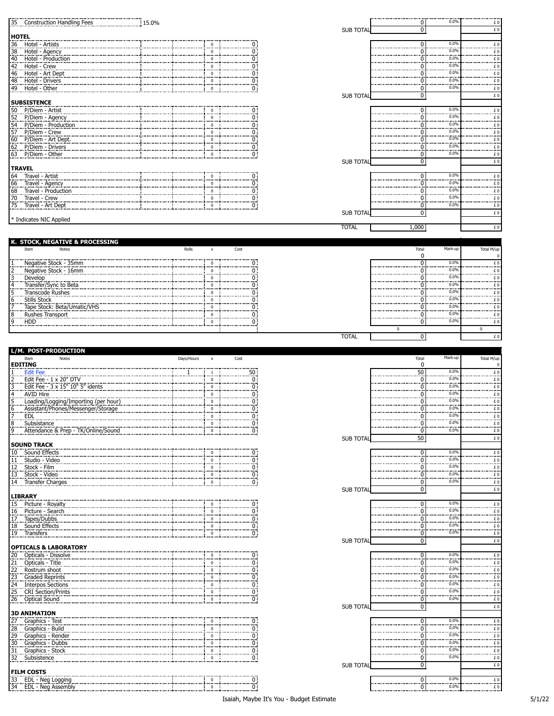| $\frac{15.0\%}{15.0\%}$<br>35 Construction Handling Fees                                                                                                      |            |                           |                      |                  | $\overline{0}$              | 0.0%         | £0                                                                                  |
|---------------------------------------------------------------------------------------------------------------------------------------------------------------|------------|---------------------------|----------------------|------------------|-----------------------------|--------------|-------------------------------------------------------------------------------------|
|                                                                                                                                                               |            |                           |                      | <b>SUB TOTAL</b> | 0                           |              | £O                                                                                  |
| <b>HOTEL</b>                                                                                                                                                  |            |                           |                      |                  |                             |              |                                                                                     |
| 36 Hotel - Artists                                                                                                                                            |            |                           |                      |                  | $\bf{0}$                    | 0.0%<br>0.0% | $\frac{f}{f}$ .                                                                     |
| Hotel - Agency<br>:<br>ا≅ا≛ا:4:أ≜:                                                                                                                            |            |                           | 0:                   |                  | 0                           | 0.0%         | $E_{\rm 0}$                                                                         |
| Hotel - Production                                                                                                                                            |            |                           | 0 :                  |                  | 0<br>$\Omega$               | 0.0%         | $\begin{array}{c} \varepsilon \ 0 \\ \varepsilon \ 0 \end{array}$                   |
| Hotel - Crew<br>Hotel - Crew<br>Hotel - Art Dept                                                                                                              |            |                           | 0 :                  |                  | 0                           | 0.0%         | $\frac{f}{f}$                                                                       |
| Hotel - Drivers                                                                                                                                               |            | $\Omega$                  | ÖΪ                   |                  | $\overline{0}$              | 0.0%         |                                                                                     |
| 48 Hotel - Drivers<br>49 Hotel - Other                                                                                                                        |            | $\Omega$                  |                      |                  | $\pmb{0}$                   | 0.0%         | $\begin{array}{c} \text{E 0}\\[-10pt] \text{E 0}\end{array}$                        |
|                                                                                                                                                               |            |                           |                      | <b>SUB TOTAL</b> | 0                           |              | $\pounds$ 0                                                                         |
| <b>SUBSISTENCE</b>                                                                                                                                            |            |                           |                      |                  |                             |              |                                                                                     |
| 50 P/Diem - Artist                                                                                                                                            |            |                           |                      |                  | 0                           | 0.0%         | $\pounds$ 0                                                                         |
| <u>190   1718   1818   1818   1818   1818</u><br>  52   P/Diem - Agency<br>  54   P/Diem - Producti<br>  57   P/Diem - Crew<br>  56   P/Diem - Art Doct       |            |                           | ö                    |                  | $\mathbf{0}$                | 0.0%<br>0.0% | $\frac{1}{2}$                                                                       |
| P/Diem - Production                                                                                                                                           |            |                           | n:                   |                  | O                           | 0.0%         | $E_{\rm 0}$                                                                         |
|                                                                                                                                                               |            |                           |                      |                  | 0                           | 0.0%         | $\overline{f}$ 0                                                                    |
| 60 P/Diem - Art Dept.<br>62 P/Diem - Drivers                                                                                                                  |            |                           | 0                    |                  | 0                           | 0.0%         | $E_{\rm 0}$                                                                         |
| 63 P/Diem - Other                                                                                                                                             |            |                           | 0                    |                  | ö                           | 0.0%         | $\stackrel{\text{f}}{=} 0$<br>$\pounds$ 0                                           |
|                                                                                                                                                               |            |                           |                      | <b>SUB TOTAL</b> | 0                           |              | $\pounds$ 0                                                                         |
| <b>TRAVEL</b>                                                                                                                                                 |            |                           |                      |                  |                             |              |                                                                                     |
| 64 Travel - Artist                                                                                                                                            |            | $\Omega$                  | υ;                   |                  | $\pmb{0}$                   | 0.0%         | $\overline{f}$ 0                                                                    |
| 66 Travel - Agency<br>68 Travel - Agency<br>68 Travel - Production                                                                                            |            | $^{\circ}$                | 0:                   |                  | 0                           | 0.0%<br>0.0% | $\frac{f}{f}$                                                                       |
|                                                                                                                                                               |            |                           |                      |                  | $\Omega$                    | 0.0%         | $\frac{\varepsilon}{\varepsilon}$ 0                                                 |
| ----------------------<br>Travel - Crew<br>70                                                                                                                 |            | $\Omega$                  | 0:<br>$\overline{0}$ |                  | 0<br>ö                      | 0.0%         |                                                                                     |
| 75 Travel - Art Dept                                                                                                                                          |            | $\pmb{0}$                 |                      |                  | $\pmb{0}$                   |              | £0<br>$\pounds$ 0                                                                   |
| * Indicates NIC Applied                                                                                                                                       |            |                           |                      | <b>SUB TOTAL</b> |                             |              |                                                                                     |
|                                                                                                                                                               |            |                           |                      | <b>TOTAL</b>     | 1,000                       |              | £0                                                                                  |
|                                                                                                                                                               |            |                           |                      |                  |                             |              |                                                                                     |
| K. STOCK, NEGATIVE & PROCESSING                                                                                                                               |            |                           |                      |                  |                             |              |                                                                                     |
| Item<br>Notes                                                                                                                                                 | Rolls      | $\mathsf{x}$              | Cost                 |                  | Total                       | Mark-up      | Total M/up                                                                          |
|                                                                                                                                                               |            |                           |                      |                  | 0                           |              |                                                                                     |
| Negative Stock - 16mm                                                                                                                                         |            | $\Omega$                  | 0:<br>0 :            |                  | 0<br>$\Omega$               | 0.0%<br>0.0% | $\stackrel{\scriptstyle \varepsilon}{\ldots}$                                       |
|                                                                                                                                                               |            | $\Omega$                  |                      |                  | 0                           | 0.0%         | $\stackrel{\text{f}}{=} 0$                                                          |
| Develop<br>Transfer/Sync to Beta                                                                                                                              |            |                           |                      |                  | 0                           | 0.0%         | f(0)<br>$E_{\perp}$                                                                 |
| Transcode Rushes                                                                                                                                              |            |                           |                      |                  | $\ddot{\circ}$              | 0.0%         | $\frac{f}{f}$                                                                       |
| Stills Stock                                                                                                                                                  |            |                           |                      |                  | n                           | 0.0%         | $\stackrel{\scriptstyle \varepsilon}{\ldots}$ 0                                     |
| Tape Stock: Beta/Umatic/VHS                                                                                                                                   |            |                           |                      |                  | 0                           | 0.0%         |                                                                                     |
| Rushes Transport                                                                                                                                              |            |                           |                      |                  | $\Omega$                    | 0.0%         | $\begin{array}{c} \texttt{E} \ 0 \\ \texttt{E} \ 0 \end{array}$                     |
| <b>HDD</b>                                                                                                                                                    |            |                           |                      |                  | $\overline{0}$              | 0.0%         | £0                                                                                  |
|                                                                                                                                                               |            |                           |                      |                  | $\mathbf 0$                 |              | $\pmb{0}$                                                                           |
|                                                                                                                                                               |            |                           |                      | <b>TOTAL</b>     | 0                           |              | $\pounds$ 0                                                                         |
|                                                                                                                                                               |            |                           |                      |                  |                             |              |                                                                                     |
|                                                                                                                                                               |            |                           |                      |                  |                             |              |                                                                                     |
| L/M. POST-PRODUCTION                                                                                                                                          |            |                           |                      |                  |                             |              |                                                                                     |
| Item<br>Notes<br><b>EDITING</b>                                                                                                                               | Days/Hours | $\boldsymbol{\mathsf{x}}$ | Cost                 |                  | Total<br>0                  | Mark-up      | Total M/up                                                                          |
| <b>Edit Fee</b>                                                                                                                                               |            | -1                        | 50 :                 |                  |                             | 0.0%         |                                                                                     |
|                                                                                                                                                               |            | $\Omega$                  | 0                    |                  | $\overline{50}$<br>$\bf{0}$ | 0.0%         | $\underline{\epsilon}$ 0.                                                           |
| Edit Fee - 1 x 20" DTV<br>Edit Fee - 3 x 15" 10" 5" idents                                                                                                    |            |                           |                      |                  | $\overline{0}$              | 0.0%         | $E_{\rm 0}$<br>$E_{\perp}$                                                          |
| AVID Hire                                                                                                                                                     |            |                           | 0                    |                  | 0                           | 0.0%         |                                                                                     |
| Loading/Logging/Importing (per hour)                                                                                                                          |            | $\Omega$                  | 0                    |                  | $\Omega$                    | 0.0%         | $\begin{array}{c}\n\text{£ } 0 \\ \text{£ } 0\n\end{array}$                         |
| Assistant/Phones/Messenger/Storage                                                                                                                            |            | $\Omega$                  |                      |                  |                             | 0.0%<br>0.0% |                                                                                     |
| <b>EDL</b>                                                                                                                                                    |            | $\Omega$                  | 0 :                  |                  | 0                           | 0.0%         | $\begin{array}{c} \n\pounds 0 \\ \hline\n\end{array}$<br>£0                         |
|                                                                                                                                                               |            | $\mathbf 0$               |                      |                  | $\overline{0}$              | 0.0%         | <br>£0                                                                              |
| Attendance & Prep - TK/Online/Sound                                                                                                                           |            |                           | 0                    | <b>SUB TOTAL</b> | 50                          |              | $\pounds$ 0                                                                         |
| <b>SOUND TRACK</b>                                                                                                                                            |            |                           |                      |                  |                             |              |                                                                                     |
| 8 Subsistance<br>9 Attendance<br>Sound Effects<br>$10$ .                                                                                                      |            |                           |                      |                  | 0                           | 0.0%         | $\overline{f}$ 0                                                                    |
| Studio - Video                                                                                                                                                |            | 0                         | 0:                   |                  | 0                           | 0.0%         | $E_{\perp}$                                                                         |
|                                                                                                                                                               |            | $\Omega$<br>$\Omega$      | 0:                   |                  | $\mathbf{0}$                | 0.0%         |                                                                                     |
| 11 Studio - Video<br>12 Stock - Film<br>13 Stock - Video<br>11 Stock - Video<br>Stock - Video                                                                 |            | 0                         | 0:                   |                  | 0<br>ö                      | 0.0%<br>0.0% | £0                                                                                  |
| 14 Transfer Charges                                                                                                                                           |            |                           | $\overline{0}$ :     | <b>SUB TOTAL</b> | 0                           |              |                                                                                     |
| <b>LIBRARY</b>                                                                                                                                                |            |                           |                      |                  |                             |              |                                                                                     |
| Picture - Royalty<br>15                                                                                                                                       |            |                           |                      |                  | $\overline{0}$              | 0.0%         |                                                                                     |
| Picture - Search                                                                                                                                              |            | $\Omega$                  |                      |                  | 0                           | 0.0%         | £O<br>$\overline{f}$ .<br>$\stackrel{\scriptstyle\mathsf{E}}{\scriptstyle\cdots}$ 0 |
| $\frac{16}{17}$<br>Tapes/Dubbs                                                                                                                                |            |                           | 0:                   |                  | 0                           | 0.0%         | $\stackrel{\text{f}}{=} 0$                                                          |
|                                                                                                                                                               |            | $\Omega$                  | 0 :                  |                  | $\Omega$                    | 0.0%         | $E_{\rm 0}$                                                                         |
|                                                                                                                                                               |            | $\Omega$                  | 0 :                  |                  | $\overline{0}$              | 0.0%         | £O                                                                                  |
|                                                                                                                                                               |            |                           |                      | <b>SUB TOTAL</b> | $\overline{0}$              |              | $\pounds$ 0                                                                         |
| <b>OPTICALS &amp; LABORATORY</b>                                                                                                                              |            | $\mathbf 0$               | 0 :                  |                  | $\overline{0}$              | 0.0%         |                                                                                     |
| Opticals - Dissolve<br>$\frac{20}{2}$                                                                                                                         |            | $\Omega$                  | 0:                   |                  | 0                           | 0.0%         | $\overline{f}$ 0                                                                    |
|                                                                                                                                                               |            | $\Omega$                  | 0                    |                  | 0                           | 0.0%         | $E_{\rm 0}$                                                                         |
| 18 Sound Effects<br><b>Graded Reprints</b>                                                                                                                    |            |                           | 0 :                  |                  | $\Omega$                    | 0.0%         | $\overline{\epsilon}$ 0                                                             |
| <b>Interpos Sections</b>                                                                                                                                      |            | $\Omega$                  |                      |                  | $\Omega$                    | 0.0%         | $\frac{f}{f}$ .<br>$E_{\perp}$                                                      |
| <b>21 Opticals - Title<br/> 22 Rostrum shoot</b><br>23 Graded Reprints<br>24 Litterpos Section<br>24 The Correction Driver<br><b>CRI Section/Prints</b><br>25 |            | $\Omega$                  | 0 :                  |                  | $\bf{0}$                    | 0.0%         | $\underline{\epsilon}$ 0                                                            |
| Optical Sound<br>$26$                                                                                                                                         |            | $\Omega$                  | 0:                   |                  | 0                           | 0.0%         | $\pounds$ 0                                                                         |
|                                                                                                                                                               |            |                           |                      | <b>SUB TOTAL</b> | 0                           |              | £0                                                                                  |
| <b>3D ANIMATION</b>                                                                                                                                           |            | $\Omega$                  | Ω.                   |                  | 0                           | 0.0%         |                                                                                     |
| Graphics - Test<br>27                                                                                                                                         |            |                           | 0:                   |                  | 0                           | 0.0%         |                                                                                     |
| Graphics - Build<br>$\frac{28}{2}$                                                                                                                            |            | $\Omega$                  |                      |                  | $\Omega$                    | 0.0%         | $\underline{\epsilon}$ 0                                                            |
|                                                                                                                                                               |            |                           | 0:                   |                  | 0                           | 0.0%         | $\pounds$ 0<br>$\stackrel{\scriptstyle\mathsf{E}}{\dots}$<br>$\frac{f}{f}$          |
| 29 Graphics - Render<br>30 Graphics - Dubbs<br>30 Graphics - Dubbs                                                                                            |            | $\mathbf 0$               | 0:                   |                  | $\overline{0}$              | 0.0%         |                                                                                     |
| 31 Graphics - Stock<br>32 Subsistence                                                                                                                         |            | $\Omega$                  | 0 :                  |                  | Ö                           | 0.0%         | $\begin{array}{c} \text{\pounds} \ 0 \\ \text{\pounds} \ 0 \end{array}$             |
|                                                                                                                                                               |            |                           |                      | <b>SUB TOTAL</b> | 0                           |              | $\pounds$ 0                                                                         |
| <b>FILM COSTS</b>                                                                                                                                             |            | $\Omega$                  |                      |                  |                             | 0.0%         | $\frac{\varepsilon}{\varepsilon}$ 0                                                 |
| 33 EDL - Neg Logging<br>34 EDL - Neg Assembly                                                                                                                 |            | $\mathbf 0$               | 0:<br>ö              |                  | 0<br>ö                      | 0.0%         | $\epsilon$ 0<br>$\frac{f}{f}$ .                                                     |